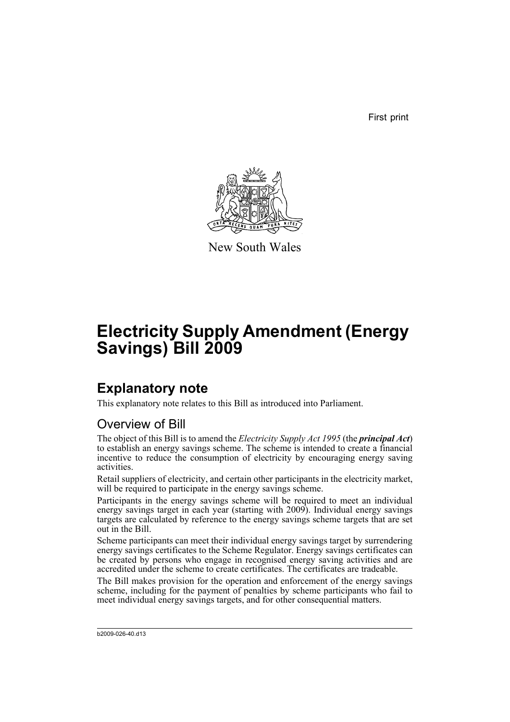First print



New South Wales

# **Electricity Supply Amendment (Energy Savings) Bill 2009**

# **Explanatory note**

This explanatory note relates to this Bill as introduced into Parliament.

# Overview of Bill

The object of this Bill is to amend the *Electricity Supply Act 1995* (the *principal Act*) to establish an energy savings scheme. The scheme is intended to create a financial incentive to reduce the consumption of electricity by encouraging energy saving activities.

Retail suppliers of electricity, and certain other participants in the electricity market, will be required to participate in the energy savings scheme.

Participants in the energy savings scheme will be required to meet an individual energy savings target in each year (starting with 2009). Individual energy savings targets are calculated by reference to the energy savings scheme targets that are set out in the Bill.

Scheme participants can meet their individual energy savings target by surrendering energy savings certificates to the Scheme Regulator. Energy savings certificates can be created by persons who engage in recognised energy saving activities and are accredited under the scheme to create certificates. The certificates are tradeable.

The Bill makes provision for the operation and enforcement of the energy savings scheme, including for the payment of penalties by scheme participants who fail to meet individual energy savings targets, and for other consequential matters.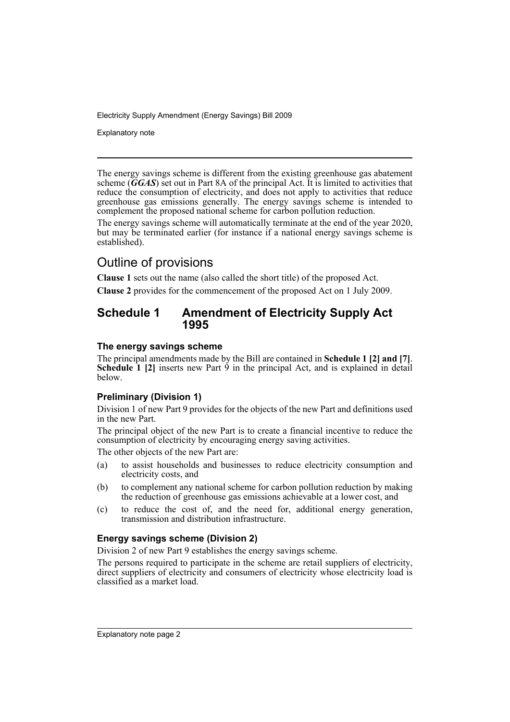Explanatory note

The energy savings scheme is different from the existing greenhouse gas abatement scheme (*GGAS*) set out in Part 8A of the principal Act. It is limited to activities that reduce the consumption of electricity, and does not apply to activities that reduce greenhouse gas emissions generally. The energy savings scheme is intended to complement the proposed national scheme for carbon pollution reduction.

The energy savings scheme will automatically terminate at the end of the year 2020, but may be terminated earlier (for instance if a national energy savings scheme is established).

# Outline of provisions

**Clause 1** sets out the name (also called the short title) of the proposed Act.

**Clause 2** provides for the commencement of the proposed Act on 1 July 2009.

# **Schedule 1 Amendment of Electricity Supply Act 1995**

# **The energy savings scheme**

The principal amendments made by the Bill are contained in **Schedule 1 [2] and [7]**. **Schedule 1 [2]** inserts new Part 9 in the principal Act, and is explained in detail below.

# **Preliminary (Division 1)**

Division 1 of new Part 9 provides for the objects of the new Part and definitions used in the new Part.

The principal object of the new Part is to create a financial incentive to reduce the consumption of electricity by encouraging energy saving activities.

The other objects of the new Part are:

- (a) to assist households and businesses to reduce electricity consumption and electricity costs, and
- (b) to complement any national scheme for carbon pollution reduction by making the reduction of greenhouse gas emissions achievable at a lower cost, and
- (c) to reduce the cost of, and the need for, additional energy generation, transmission and distribution infrastructure.

# **Energy savings scheme (Division 2)**

Division 2 of new Part 9 establishes the energy savings scheme.

The persons required to participate in the scheme are retail suppliers of electricity, direct suppliers of electricity and consumers of electricity whose electricity load is classified as a market load.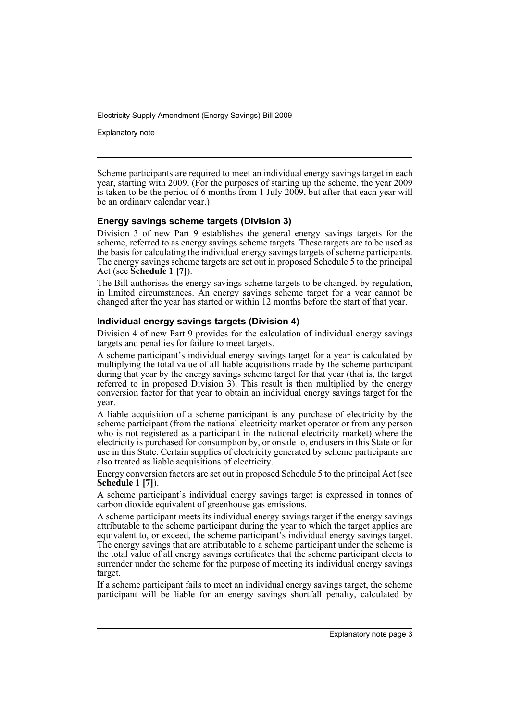Explanatory note

Scheme participants are required to meet an individual energy savings target in each year, starting with 2009. (For the purposes of starting up the scheme, the year 2009 is taken to be the period of 6 months from 1 July 2009, but after that each year will be an ordinary calendar year.)

# **Energy savings scheme targets (Division 3)**

Division 3 of new Part 9 establishes the general energy savings targets for the scheme, referred to as energy savings scheme targets. These targets are to be used as the basis for calculating the individual energy savings targets of scheme participants. The energy savings scheme targets are set out in proposed Schedule 5 to the principal Act (see **Schedule 1 [7]**).

The Bill authorises the energy savings scheme targets to be changed, by regulation, in limited circumstances. An energy savings scheme target for a year cannot be changed after the year has started or within 12 months before the start of that year.

#### **Individual energy savings targets (Division 4)**

Division 4 of new Part 9 provides for the calculation of individual energy savings targets and penalties for failure to meet targets.

A scheme participant's individual energy savings target for a year is calculated by multiplying the total value of all liable acquisitions made by the scheme participant during that year by the energy savings scheme target for that year (that is, the target referred to in proposed Division 3). This result is then multiplied by the energy conversion factor for that year to obtain an individual energy savings target for the year.

A liable acquisition of a scheme participant is any purchase of electricity by the scheme participant (from the national electricity market operator or from any person who is not registered as a participant in the national electricity market) where the electricity is purchased for consumption by, or onsale to, end users in this State or for use in this State. Certain supplies of electricity generated by scheme participants are also treated as liable acquisitions of electricity.

Energy conversion factors are set out in proposed Schedule 5 to the principal Act (see **Schedule 1 [7]**).

A scheme participant's individual energy savings target is expressed in tonnes of carbon dioxide equivalent of greenhouse gas emissions.

A scheme participant meets its individual energy savings target if the energy savings attributable to the scheme participant during the year to which the target applies are equivalent to, or exceed, the scheme participant's individual energy savings target. The energy savings that are attributable to a scheme participant under the scheme is the total value of all energy savings certificates that the scheme participant elects to surrender under the scheme for the purpose of meeting its individual energy savings target.

If a scheme participant fails to meet an individual energy savings target, the scheme participant will be liable for an energy savings shortfall penalty, calculated by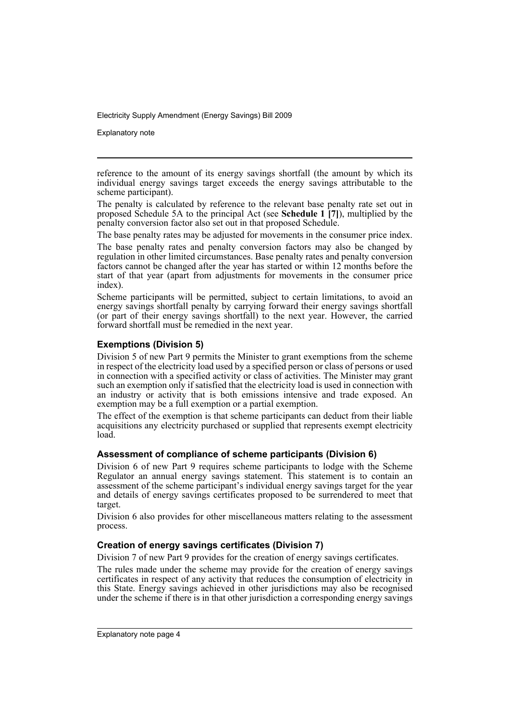Explanatory note

reference to the amount of its energy savings shortfall (the amount by which its individual energy savings target exceeds the energy savings attributable to the scheme participant).

The penalty is calculated by reference to the relevant base penalty rate set out in proposed Schedule 5A to the principal Act (see **Schedule 1 [7]**), multiplied by the penalty conversion factor also set out in that proposed Schedule.

The base penalty rates may be adjusted for movements in the consumer price index.

The base penalty rates and penalty conversion factors may also be changed by regulation in other limited circumstances. Base penalty rates and penalty conversion factors cannot be changed after the year has started or within 12 months before the start of that year (apart from adjustments for movements in the consumer price index).

Scheme participants will be permitted, subject to certain limitations, to avoid an energy savings shortfall penalty by carrying forward their energy savings shortfall (or part of their energy savings shortfall) to the next year. However, the carried forward shortfall must be remedied in the next year.

# **Exemptions (Division 5)**

Division 5 of new Part 9 permits the Minister to grant exemptions from the scheme in respect of the electricity load used by a specified person or class of persons or used in connection with a specified activity or class of activities. The Minister may grant such an exemption only if satisfied that the electricity load is used in connection with an industry or activity that is both emissions intensive and trade exposed. An exemption may be a full exemption or a partial exemption.

The effect of the exemption is that scheme participants can deduct from their liable acquisitions any electricity purchased or supplied that represents exempt electricity load.

#### **Assessment of compliance of scheme participants (Division 6)**

Division 6 of new Part 9 requires scheme participants to lodge with the Scheme Regulator an annual energy savings statement. This statement is to contain an assessment of the scheme participant's individual energy savings target for the year and details of energy savings certificates proposed to be surrendered to meet that target.

Division 6 also provides for other miscellaneous matters relating to the assessment process.

#### **Creation of energy savings certificates (Division 7)**

Division 7 of new Part 9 provides for the creation of energy savings certificates.

The rules made under the scheme may provide for the creation of energy savings certificates in respect of any activity that reduces the consumption of electricity in this State. Energy savings achieved in other jurisdictions may also be recognised under the scheme if there is in that other jurisdiction a corresponding energy savings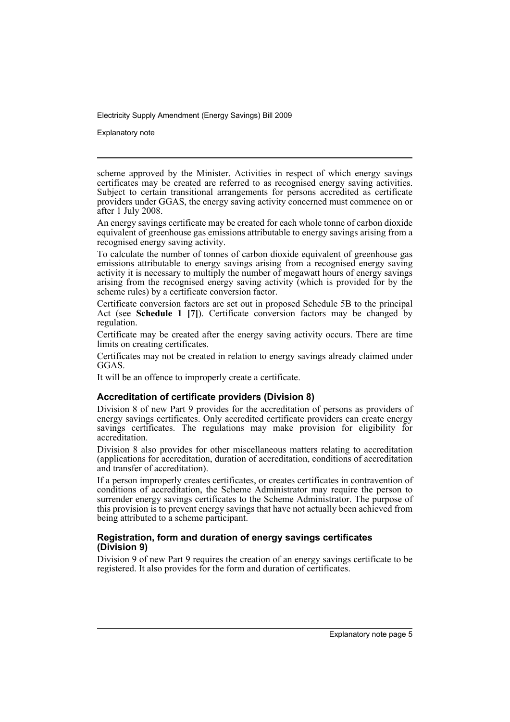Explanatory note

scheme approved by the Minister. Activities in respect of which energy savings certificates may be created are referred to as recognised energy saving activities. Subject to certain transitional arrangements for persons accredited as certificate providers under GGAS, the energy saving activity concerned must commence on or after 1 July 2008.

An energy savings certificate may be created for each whole tonne of carbon dioxide equivalent of greenhouse gas emissions attributable to energy savings arising from a recognised energy saving activity.

To calculate the number of tonnes of carbon dioxide equivalent of greenhouse gas emissions attributable to energy savings arising from a recognised energy saving activity it is necessary to multiply the number of megawatt hours of energy savings arising from the recognised energy saving activity (which is provided for by the scheme rules) by a certificate conversion factor.

Certificate conversion factors are set out in proposed Schedule 5B to the principal Act (see **Schedule 1 [7]**). Certificate conversion factors may be changed by regulation.

Certificate may be created after the energy saving activity occurs. There are time limits on creating certificates.

Certificates may not be created in relation to energy savings already claimed under GGAS.

It will be an offence to improperly create a certificate.

# **Accreditation of certificate providers (Division 8)**

Division 8 of new Part 9 provides for the accreditation of persons as providers of energy savings certificates. Only accredited certificate providers can create energy savings certificates. The regulations may make provision for eligibility for accreditation.

Division 8 also provides for other miscellaneous matters relating to accreditation (applications for accreditation, duration of accreditation, conditions of accreditation and transfer of accreditation).

If a person improperly creates certificates, or creates certificates in contravention of conditions of accreditation, the Scheme Administrator may require the person to surrender energy savings certificates to the Scheme Administrator. The purpose of this provision is to prevent energy savings that have not actually been achieved from being attributed to a scheme participant.

### **Registration, form and duration of energy savings certificates (Division 9)**

Division 9 of new Part 9 requires the creation of an energy savings certificate to be registered. It also provides for the form and duration of certificates.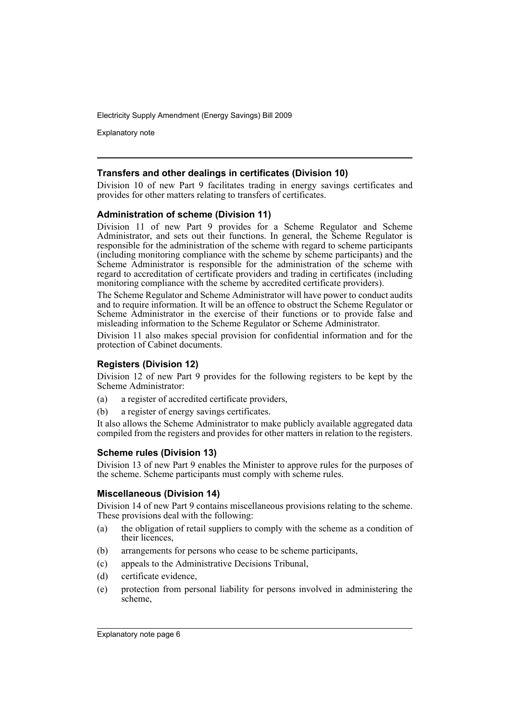Explanatory note

#### **Transfers and other dealings in certificates (Division 10)**

Division 10 of new Part 9 facilitates trading in energy savings certificates and provides for other matters relating to transfers of certificates.

#### **Administration of scheme (Division 11)**

Division 11 of new Part 9 provides for a Scheme Regulator and Scheme Administrator, and sets out their functions. In general, the Scheme Regulator is responsible for the administration of the scheme with regard to scheme participants (including monitoring compliance with the scheme by scheme participants) and the Scheme Administrator is responsible for the administration of the scheme with regard to accreditation of certificate providers and trading in certificates (including monitoring compliance with the scheme by accredited certificate providers).

The Scheme Regulator and Scheme Administrator will have power to conduct audits and to require information. It will be an offence to obstruct the Scheme Regulator or Scheme Administrator in the exercise of their functions or to provide false and misleading information to the Scheme Regulator or Scheme Administrator.

Division 11 also makes special provision for confidential information and for the protection of Cabinet documents.

#### **Registers (Division 12)**

Division 12 of new Part 9 provides for the following registers to be kept by the Scheme Administrator:

- (a) a register of accredited certificate providers,
- (b) a register of energy savings certificates.

It also allows the Scheme Administrator to make publicly available aggregated data compiled from the registers and provides for other matters in relation to the registers.

#### **Scheme rules (Division 13)**

Division 13 of new Part 9 enables the Minister to approve rules for the purposes of the scheme. Scheme participants must comply with scheme rules.

### **Miscellaneous (Division 14)**

Division 14 of new Part 9 contains miscellaneous provisions relating to the scheme. These provisions deal with the following:

- (a) the obligation of retail suppliers to comply with the scheme as a condition of their licences,
- (b) arrangements for persons who cease to be scheme participants,
- (c) appeals to the Administrative Decisions Tribunal,
- (d) certificate evidence,
- (e) protection from personal liability for persons involved in administering the scheme,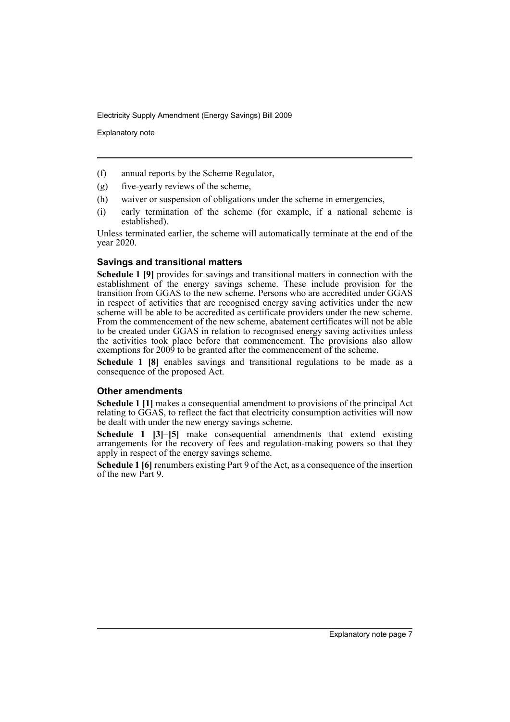Explanatory note

- (f) annual reports by the Scheme Regulator,
- (g) five-yearly reviews of the scheme,
- (h) waiver or suspension of obligations under the scheme in emergencies,
- (i) early termination of the scheme (for example, if a national scheme is established).

Unless terminated earlier, the scheme will automatically terminate at the end of the year 2020.

#### **Savings and transitional matters**

**Schedule 1 [9]** provides for savings and transitional matters in connection with the establishment of the energy savings scheme. These include provision for the transition from GGAS to the new scheme. Persons who are accredited under GGAS in respect of activities that are recognised energy saving activities under the new scheme will be able to be accredited as certificate providers under the new scheme. From the commencement of the new scheme, abatement certificates will not be able to be created under GGAS in relation to recognised energy saving activities unless the activities took place before that commencement. The provisions also allow exemptions for 2009 to be granted after the commencement of the scheme.

**Schedule 1 [8]** enables savings and transitional regulations to be made as a consequence of the proposed Act.

#### **Other amendments**

**Schedule 1** [1] makes a consequential amendment to provisions of the principal Act relating to GGAS, to reflect the fact that electricity consumption activities will now be dealt with under the new energy savings scheme.

**Schedule 1 [3]–[5]** make consequential amendments that extend existing arrangements for the recovery of fees and regulation-making powers so that they apply in respect of the energy savings scheme.

**Schedule 1 [6]** renumbers existing Part 9 of the Act, as a consequence of the insertion of the new Part 9.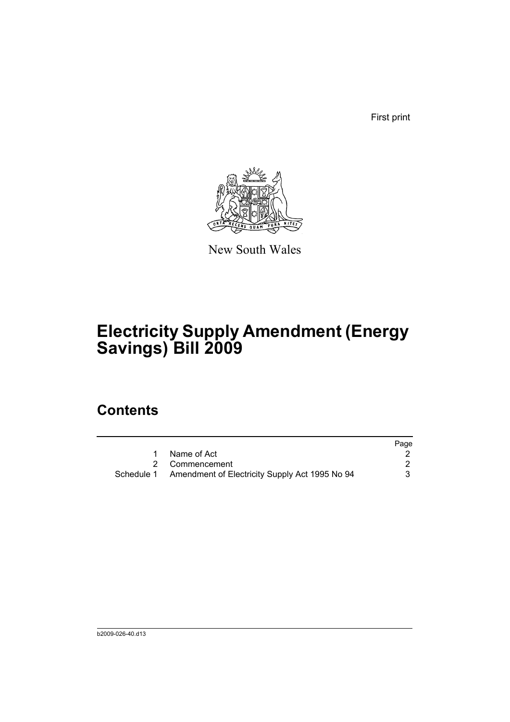First print



New South Wales

# **Electricity Supply Amendment (Energy Savings) Bill 2009**

# **Contents**

|                                                           | Page |
|-----------------------------------------------------------|------|
| Name of Act                                               |      |
| 2 Commencement                                            |      |
| Schedule 1 Amendment of Electricity Supply Act 1995 No 94 | 3    |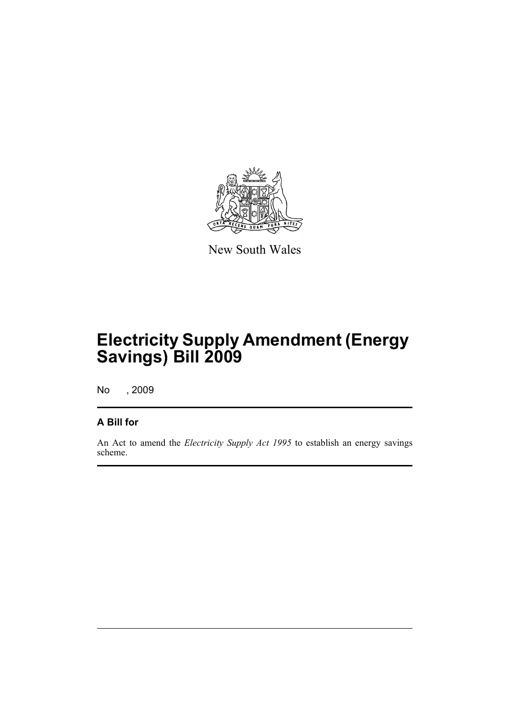

New South Wales

# **Electricity Supply Amendment (Energy Savings) Bill 2009**

No , 2009

# **A Bill for**

An Act to amend the *Electricity Supply Act 1995* to establish an energy savings scheme.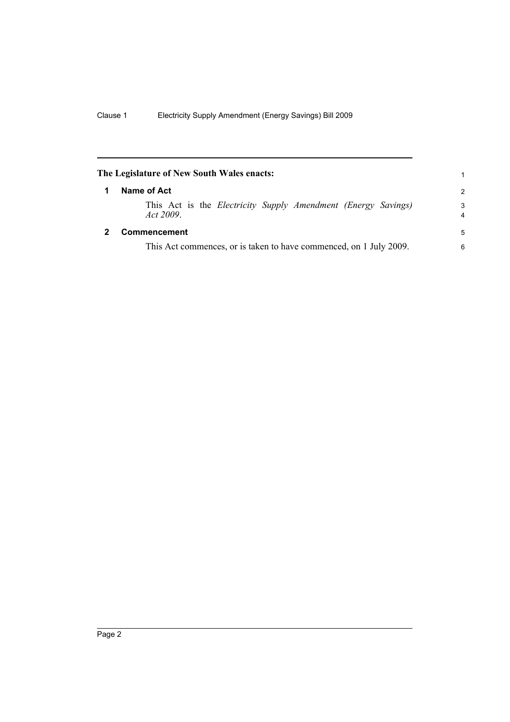<span id="page-11-1"></span><span id="page-11-0"></span>

| The Legislature of New South Wales enacts: |                                                                                   |                     |  |
|--------------------------------------------|-----------------------------------------------------------------------------------|---------------------|--|
| 1                                          | Name of Act                                                                       |                     |  |
|                                            | This Act is the <i>Electricity Supply Amendment (Energy Savings)</i><br>Act 2009. | 3<br>$\overline{4}$ |  |
|                                            | Commencement                                                                      | 5                   |  |
|                                            | This Act commences, or is taken to have commenced, on 1 July 2009.                | 6                   |  |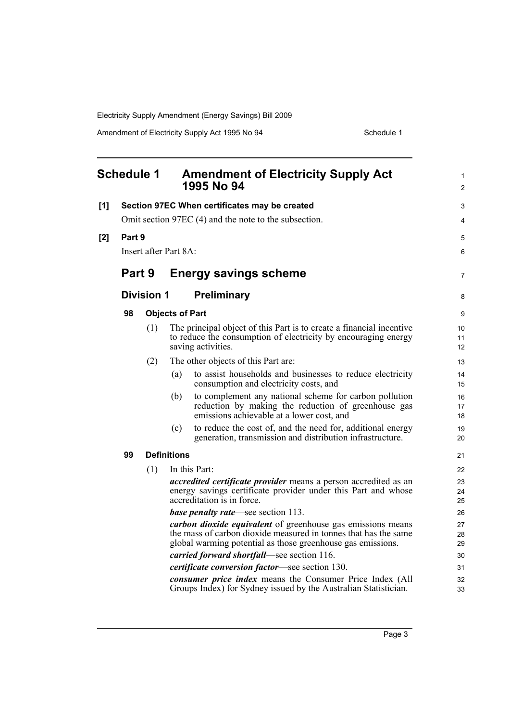<span id="page-12-0"></span>

|     | <b>Schedule 1</b> |                   |                        | <b>Amendment of Electricity Supply Act</b><br>1995 No 94                                                                                                                                             | 1<br>$\overline{2}$ |
|-----|-------------------|-------------------|------------------------|------------------------------------------------------------------------------------------------------------------------------------------------------------------------------------------------------|---------------------|
| [1] |                   |                   |                        | Section 97EC When certificates may be created                                                                                                                                                        | 3                   |
|     |                   |                   |                        | Omit section 97EC (4) and the note to the subsection.                                                                                                                                                | 4                   |
| [2] | Part 9            |                   |                        |                                                                                                                                                                                                      | 5                   |
|     |                   |                   | Insert after Part 8A:  |                                                                                                                                                                                                      | 6                   |
|     | Part 9            |                   |                        | <b>Energy savings scheme</b>                                                                                                                                                                         | 7                   |
|     |                   | <b>Division 1</b> |                        | Preliminary                                                                                                                                                                                          | 8                   |
|     | 98                |                   | <b>Objects of Part</b> |                                                                                                                                                                                                      | 9                   |
|     |                   | (1)               |                        | The principal object of this Part is to create a financial incentive<br>to reduce the consumption of electricity by encouraging energy<br>saving activities.                                         | 10<br>11<br>12      |
|     |                   | (2)               |                        | The other objects of this Part are:                                                                                                                                                                  | 13                  |
|     |                   |                   | (a)                    | to assist households and businesses to reduce electricity<br>consumption and electricity costs, and                                                                                                  | 14<br>15            |
|     |                   |                   | (b)                    | to complement any national scheme for carbon pollution<br>reduction by making the reduction of greenhouse gas<br>emissions achievable at a lower cost, and                                           | 16<br>17<br>18      |
|     |                   |                   | (c)                    | to reduce the cost of, and the need for, additional energy<br>generation, transmission and distribution infrastructure.                                                                              | 19<br>20            |
|     | 99                |                   | <b>Definitions</b>     |                                                                                                                                                                                                      | 21                  |
|     |                   | (1)               |                        | In this Part:                                                                                                                                                                                        | 22                  |
|     |                   |                   |                        | accredited certificate provider means a person accredited as an<br>energy savings certificate provider under this Part and whose<br>accreditation is in force.                                       | 23<br>24<br>25      |
|     |                   |                   |                        | base penalty rate—see section 113.                                                                                                                                                                   | 26                  |
|     |                   |                   |                        | <i>carbon dioxide equivalent</i> of greenhouse gas emissions means<br>the mass of carbon dioxide measured in tonnes that has the same<br>global warming potential as those greenhouse gas emissions. | 27<br>28<br>29      |
|     |                   |                   |                        | carried forward shortfall—see section 116.                                                                                                                                                           | 30                  |
|     |                   |                   |                        | certificate conversion factor—see section 130.                                                                                                                                                       | 31                  |
|     |                   |                   |                        | consumer price index means the Consumer Price Index (All<br>Groups Index) for Sydney issued by the Australian Statistician.                                                                          | 32<br>33            |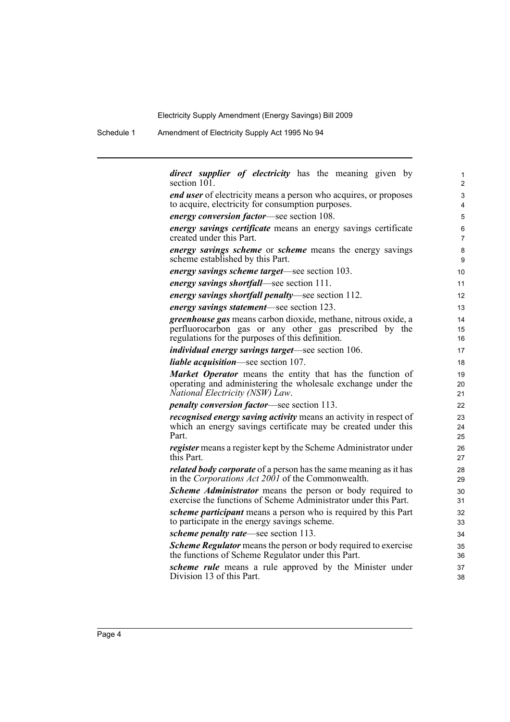Schedule 1 Amendment of Electricity Supply Act 1995 No 94

| <i>direct supplier of electricity</i> has the meaning given by           | 1              |
|--------------------------------------------------------------------------|----------------|
| section 101.                                                             | $\overline{2}$ |
| <i>end user</i> of electricity means a person who acquires, or proposes  | 3              |
| to acquire, electricity for consumption purposes.                        | $\overline{4}$ |
| <i>energy conversion factor</i> —see section 108.                        | 5              |
| energy savings certificate means an energy savings certificate           | 6              |
| created under this Part.                                                 | $\overline{7}$ |
| <i>energy savings scheme</i> or <i>scheme</i> means the energy savings   | 8              |
| scheme established by this Part.                                         | 9              |
| <i>energy savings scheme target—see section 103.</i>                     | 10             |
| energy savings shortfall—see section 111.                                | 11             |
| <i>energy savings shortfall penalty—see section 112.</i>                 | 12             |
| <i>energy savings statement</i> —see section 123.                        | 13             |
| greenhouse gas means carbon dioxide, methane, nitrous oxide, a           | 14             |
| perfluorocarbon gas or any other gas prescribed by the                   | 15             |
| regulations for the purposes of this definition.                         | 16             |
| <i>individual energy savings target—see section 106.</i>                 | 17             |
| <i>liable acquisition</i> —see section 107.                              | 18             |
| Market Operator means the entity that has the function of                | 19             |
| operating and administering the wholesale exchange under the             | 20             |
| National Electricity (NSW) Law.                                          | 21             |
| <i>penalty conversion factor</i> —see section 113.                       | 22             |
| <i>recognised energy saving activity</i> means an activity in respect of | 23             |
| which an energy savings certificate may be created under this            | 24             |
| Part.                                                                    | 25             |
| <i>register</i> means a register kept by the Scheme Administrator under  | 26             |
| this Part.                                                               | 27             |
| <i>related body corporate</i> of a person has the same meaning as it has | 28             |
| in the Corporations Act 2001 of the Commonwealth.                        | 29             |
| Scheme Administrator means the person or body required to                | 30             |
| exercise the functions of Scheme Administrator under this Part.          | 31             |
| <i>scheme participant</i> means a person who is required by this Part    | 32             |
| to participate in the energy savings scheme.                             | 33             |
| <i>scheme penalty rate—see section 113.</i>                              | 34             |
| <b>Scheme Regulator</b> means the person or body required to exercise    | 35             |
| the functions of Scheme Regulator under this Part.                       | 36             |
| <i>scheme rule</i> means a rule approved by the Minister under           | 37             |
| Division 13 of this Part.                                                | 38             |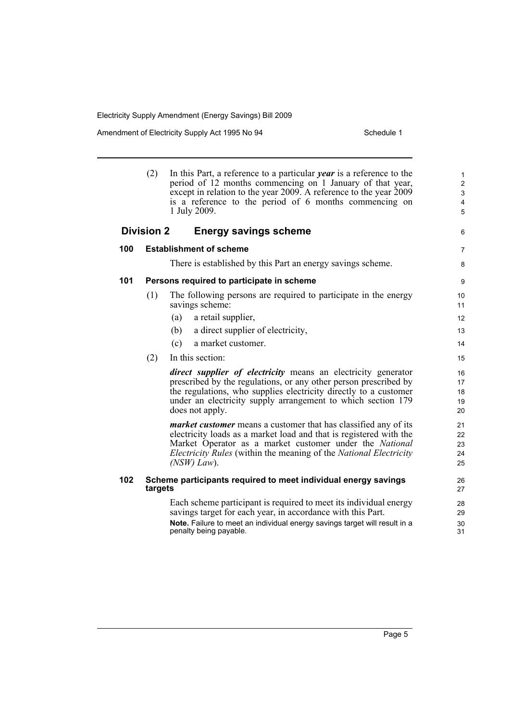|     | (2)               | In this Part, a reference to a particular <i>year</i> is a reference to the<br>period of 12 months commencing on 1 January of that year,<br>except in relation to the year 2009. A reference to the year 2009<br>is a reference to the period of 6 months commencing on<br>1 July 2009.                      | $\mathbf{1}$<br>$\overline{c}$<br>3<br>$\overline{4}$<br>5 |
|-----|-------------------|--------------------------------------------------------------------------------------------------------------------------------------------------------------------------------------------------------------------------------------------------------------------------------------------------------------|------------------------------------------------------------|
|     | <b>Division 2</b> | <b>Energy savings scheme</b>                                                                                                                                                                                                                                                                                 | 6                                                          |
| 100 |                   | <b>Establishment of scheme</b>                                                                                                                                                                                                                                                                               | $\overline{7}$                                             |
|     |                   | There is established by this Part an energy savings scheme.                                                                                                                                                                                                                                                  | 8                                                          |
| 101 |                   | Persons required to participate in scheme                                                                                                                                                                                                                                                                    | 9                                                          |
|     | (1)               | The following persons are required to participate in the energy<br>savings scheme:                                                                                                                                                                                                                           | 10<br>11                                                   |
|     |                   | a retail supplier,<br>(a)                                                                                                                                                                                                                                                                                    | 12                                                         |
|     |                   | a direct supplier of electricity,<br>(b)                                                                                                                                                                                                                                                                     | 13                                                         |
|     |                   | a market customer.<br>(c)                                                                                                                                                                                                                                                                                    | 14                                                         |
|     | (2)               | In this section:                                                                                                                                                                                                                                                                                             | 15                                                         |
|     |                   | <i>direct supplier of electricity</i> means an electricity generator<br>prescribed by the regulations, or any other person prescribed by<br>the regulations, who supplies electricity directly to a customer<br>under an electricity supply arrangement to which section 179<br>does not apply.              | 16<br>17<br>18<br>19<br>20                                 |
|     |                   | <i>market customer</i> means a customer that has classified any of its<br>electricity loads as a market load and that is registered with the<br>Market Operator as a market customer under the National<br><i>Electricity Rules</i> (within the meaning of the <i>National Electricity</i><br>$(NSW) Law)$ . | 21<br>22<br>23<br>24<br>25                                 |
| 102 | targets           | Scheme participants required to meet individual energy savings                                                                                                                                                                                                                                               | 26<br>27                                                   |
|     |                   | Each scheme participant is required to meet its individual energy<br>savings target for each year, in accordance with this Part.<br>Note. Failure to meet an individual energy savings target will result in a                                                                                               | 28<br>29<br>30                                             |
|     |                   | penalty being payable.                                                                                                                                                                                                                                                                                       | 31                                                         |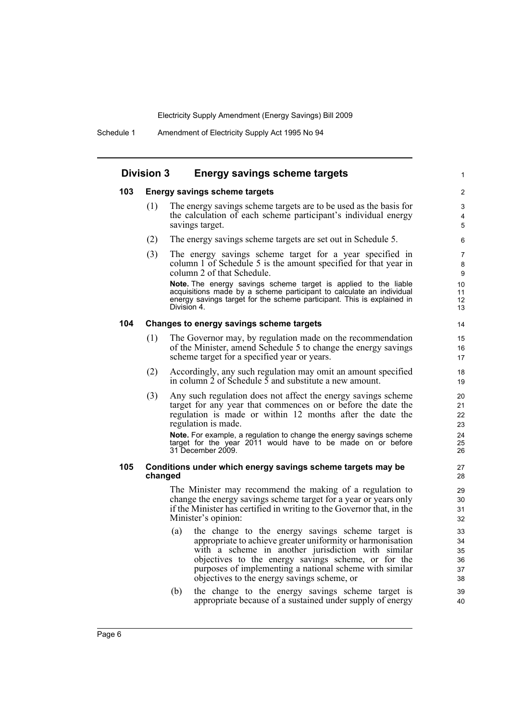#### **Division 3 Energy savings scheme targets**

#### **103 Energy savings scheme targets**

(1) The energy savings scheme targets are to be used as the basis for the calculation of each scheme participant's individual energy savings target.

1

- (2) The energy savings scheme targets are set out in Schedule 5.
- (3) The energy savings scheme target for a year specified in column 1 of Schedule 5 is the amount specified for that year in column 2 of that Schedule.

**Note.** The energy savings scheme target is applied to the liable acquisitions made by a scheme participant to calculate an individual energy savings target for the scheme participant. This is explained in Division 4

#### **104 Changes to energy savings scheme targets**

- (1) The Governor may, by regulation made on the recommendation of the Minister, amend Schedule 5 to change the energy savings scheme target for a specified year or years.
- (2) Accordingly, any such regulation may omit an amount specified in column  $\frac{1}{2}$  of Schedule  $\frac{1}{2}$  and substitute a new amount.
- (3) Any such regulation does not affect the energy savings scheme target for any year that commences on or before the date the regulation is made or within 12 months after the date the regulation is made.

**Note.** For example, a regulation to change the energy savings scheme target for the year 2011 would have to be made on or before 31 December 2009.

#### **105 Conditions under which energy savings scheme targets may be changed**

The Minister may recommend the making of a regulation to change the energy savings scheme target for a year or years only if the Minister has certified in writing to the Governor that, in the Minister's opinion:

- (a) the change to the energy savings scheme target is appropriate to achieve greater uniformity or harmonisation with a scheme in another jurisdiction with similar objectives to the energy savings scheme, or for the purposes of implementing a national scheme with similar objectives to the energy savings scheme, or
- (b) the change to the energy savings scheme target is appropriate because of a sustained under supply of energy

Page 6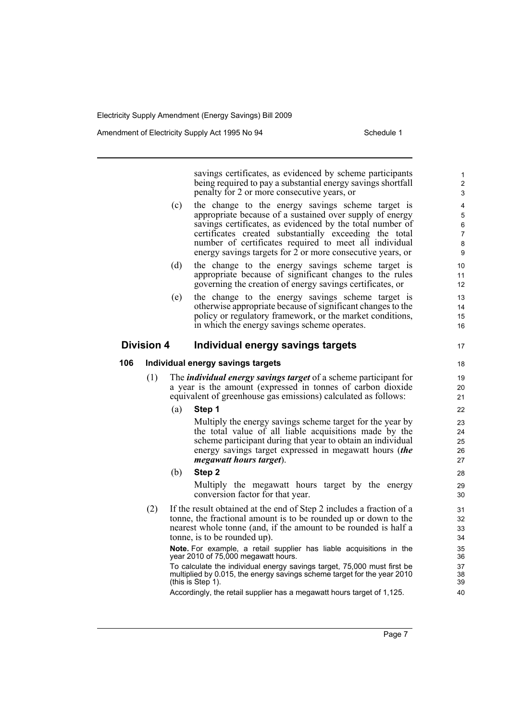Amendment of Electricity Supply Act 1995 No 94 Schedule 1

savings certificates, as evidenced by scheme participants being required to pay a substantial energy savings shortfall penalty for 2 or more consecutive years, or (c) the change to the energy savings scheme target is appropriate because of a sustained over supply of energy savings certificates, as evidenced by the total number of certificates created substantially exceeding the total number of certificates required to meet all individual energy savings targets for 2 or more consecutive years, or (d) the change to the energy savings scheme target is appropriate because of significant changes to the rules governing the creation of energy savings certificates, or (e) the change to the energy savings scheme target is otherwise appropriate because of significant changes to the policy or regulatory framework, or the market conditions, in which the energy savings scheme operates. **Division 4 Individual energy savings targets 106 Individual energy savings targets** (1) The *individual energy savings target* of a scheme participant for a year is the amount (expressed in tonnes of carbon dioxide equivalent of greenhouse gas emissions) calculated as follows: (a) **Step 1** Multiply the energy savings scheme target for the year by the total value of all liable acquisitions made by the scheme participant during that year to obtain an individual energy savings target expressed in megawatt hours (*the megawatt hours target*). (b) **Step 2** Multiply the megawatt hours target by the energy conversion factor for that year. (2) If the result obtained at the end of Step 2 includes a fraction of a tonne, the fractional amount is to be rounded up or down to the nearest whole tonne (and, if the amount to be rounded is half a tonne, is to be rounded up). **Note.** For example, a retail supplier has liable acquisitions in the year 2010 of 75,000 megawatt hours. To calculate the individual energy savings target, 75,000 must first be multiplied by 0.015, the energy savings scheme target for the year 2010 (this is Step 1). Accordingly, the retail supplier has a megawatt hours target of 1,125. 1  $\overline{2}$ 3 4 5 6 7 8 **9** 10 11 12 13 14 15 16 17 18 19  $20$ 21 22 23 24 25 26 27 28  $29$ 30 31 32 33 34 35 36 37 38 39 40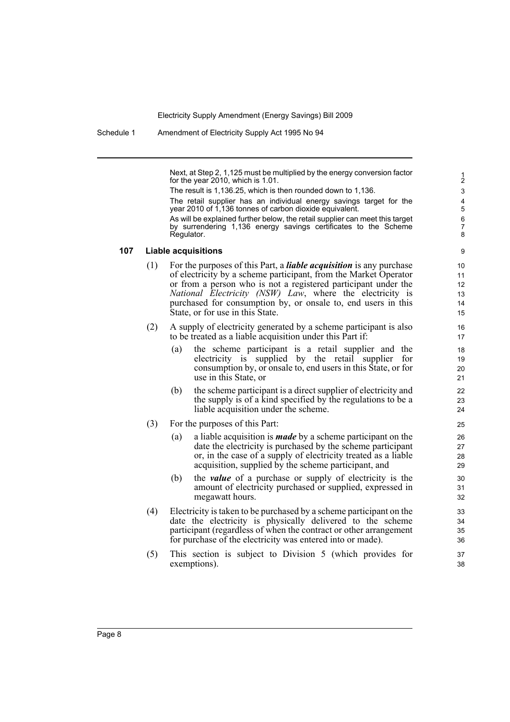Schedule 1 Amendment of Electricity Supply Act 1995 No 94

Next, at Step 2, 1,125 must be multiplied by the energy conversion factor for the year 2010, which is 1.01.

The result is 1,136.25, which is then rounded down to 1,136.

The retail supplier has an individual energy savings target for the year 2010 of 1,136 tonnes of carbon dioxide equivalent.

As will be explained further below, the retail supplier can meet this target by surrendering 1,136 energy savings certificates to the Scheme Regulator.

 $\alpha$ 

#### **107 Liable acquisitions**

- (1) For the purposes of this Part, a *liable acquisition* is any purchase of electricity by a scheme participant, from the Market Operator or from a person who is not a registered participant under the *National Electricity (NSW) Law*, where the electricity is purchased for consumption by, or onsale to, end users in this State, or for use in this State.
- (2) A supply of electricity generated by a scheme participant is also to be treated as a liable acquisition under this Part if:
	- (a) the scheme participant is a retail supplier and the electricity is supplied by the retail supplier for consumption by, or onsale to, end users in this State, or for use in this State, or
	- (b) the scheme participant is a direct supplier of electricity and the supply is of a kind specified by the regulations to be a liable acquisition under the scheme.
- (3) For the purposes of this Part:
	- (a) a liable acquisition is *made* by a scheme participant on the date the electricity is purchased by the scheme participant or, in the case of a supply of electricity treated as a liable acquisition, supplied by the scheme participant, and
	- (b) the *value* of a purchase or supply of electricity is the amount of electricity purchased or supplied, expressed in megawatt hours.
- (4) Electricity is taken to be purchased by a scheme participant on the date the electricity is physically delivered to the scheme participant (regardless of when the contract or other arrangement for purchase of the electricity was entered into or made).
- (5) This section is subject to Division 5 (which provides for exemptions).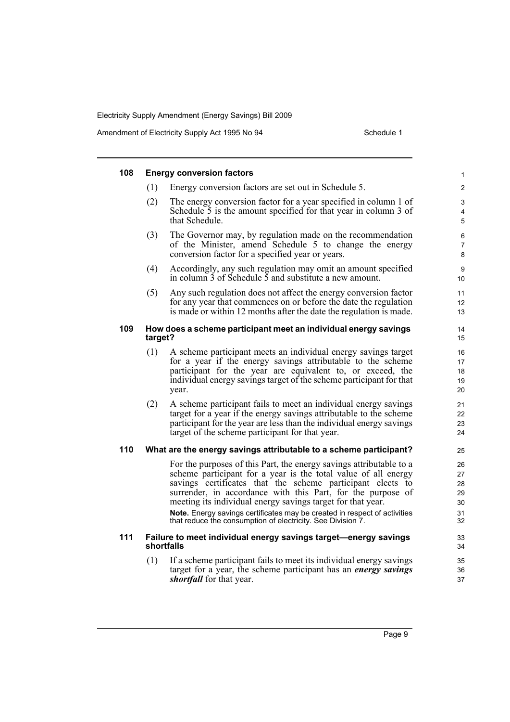| 108 |         | <b>Energy conversion factors</b>                                                                                                                                                                                                                                                                                                                                                                                                                                              | 1                                      |
|-----|---------|-------------------------------------------------------------------------------------------------------------------------------------------------------------------------------------------------------------------------------------------------------------------------------------------------------------------------------------------------------------------------------------------------------------------------------------------------------------------------------|----------------------------------------|
|     | (1)     | Energy conversion factors are set out in Schedule 5.                                                                                                                                                                                                                                                                                                                                                                                                                          | 2                                      |
|     | (2)     | The energy conversion factor for a year specified in column 1 of<br>Schedule 5 is the amount specified for that year in column 3 of<br>that Schedule.                                                                                                                                                                                                                                                                                                                         | 3<br>4<br>5                            |
|     | (3)     | The Governor may, by regulation made on the recommendation<br>of the Minister, amend Schedule 5 to change the energy<br>conversion factor for a specified year or years.                                                                                                                                                                                                                                                                                                      | 6<br>$\overline{7}$<br>8               |
|     | (4)     | Accordingly, any such regulation may omit an amount specified<br>in column $\overline{3}$ of Schedule $\overline{5}$ and substitute a new amount.                                                                                                                                                                                                                                                                                                                             | 9<br>10                                |
|     | (5)     | Any such regulation does not affect the energy conversion factor<br>for any year that commences on or before the date the regulation<br>is made or within 12 months after the date the regulation is made.                                                                                                                                                                                                                                                                    | 11<br>12<br>13                         |
| 109 | target? | How does a scheme participant meet an individual energy savings                                                                                                                                                                                                                                                                                                                                                                                                               | 14<br>15                               |
|     | (1)     | A scheme participant meets an individual energy savings target<br>for a year if the energy savings attributable to the scheme<br>participant for the year are equivalent to, or exceed, the<br>individual energy savings target of the scheme participant for that<br>year.                                                                                                                                                                                                   | 16<br>17<br>18<br>19<br>20             |
|     | (2)     | A scheme participant fails to meet an individual energy savings<br>target for a year if the energy savings attributable to the scheme<br>participant for the year are less than the individual energy savings<br>target of the scheme participant for that year.                                                                                                                                                                                                              | 21<br>22<br>23<br>24                   |
| 110 |         | What are the energy savings attributable to a scheme participant?                                                                                                                                                                                                                                                                                                                                                                                                             | 25                                     |
|     |         | For the purposes of this Part, the energy savings attributable to a<br>scheme participant for a year is the total value of all energy<br>savings certificates that the scheme participant elects to<br>surrender, in accordance with this Part, for the purpose of<br>meeting its individual energy savings target for that year.<br>Note. Energy savings certificates may be created in respect of activities<br>that reduce the consumption of electricity. See Division 7. | 26<br>27<br>28<br>29<br>30<br>31<br>32 |
| 111 |         | Failure to meet individual energy savings target-energy savings<br>shortfalls                                                                                                                                                                                                                                                                                                                                                                                                 | 33<br>34                               |
|     | (1)     | If a scheme participant fails to meet its individual energy savings<br>target for a year, the scheme participant has an <i>energy savings</i><br>shortfall for that year.                                                                                                                                                                                                                                                                                                     | 35<br>36<br>37                         |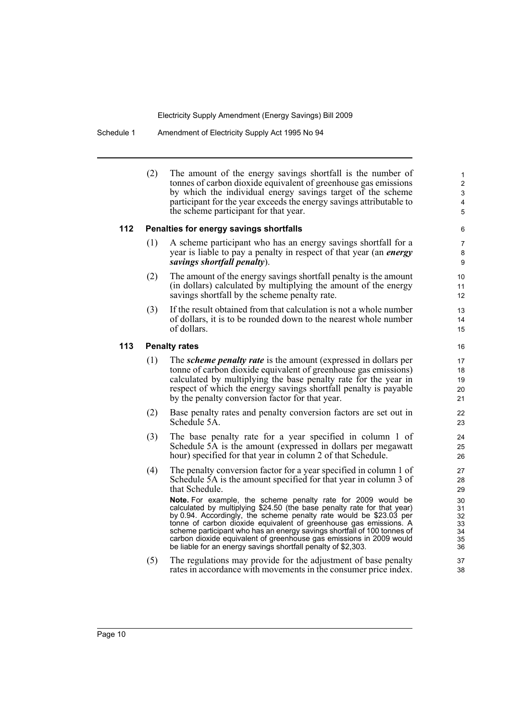Schedule 1 Amendment of Electricity Supply Act 1995 No 94

|     | (2)                  | The amount of the energy savings shortfall is the number of<br>tonnes of carbon dioxide equivalent of greenhouse gas emissions<br>by which the individual energy savings target of the scheme<br>participant for the year exceeds the energy savings attributable to<br>the scheme participant for that year.                                                                                                                                                                                         | 1<br>$\overline{c}$<br>3<br>4<br>5     |  |  |  |  |
|-----|----------------------|-------------------------------------------------------------------------------------------------------------------------------------------------------------------------------------------------------------------------------------------------------------------------------------------------------------------------------------------------------------------------------------------------------------------------------------------------------------------------------------------------------|----------------------------------------|--|--|--|--|
| 112 |                      | Penalties for energy savings shortfalls                                                                                                                                                                                                                                                                                                                                                                                                                                                               | 6                                      |  |  |  |  |
|     | (1)                  | A scheme participant who has an energy savings shortfall for a<br>year is liable to pay a penalty in respect of that year (an <i>energy</i><br>savings shortfall penalty).                                                                                                                                                                                                                                                                                                                            | 7<br>8<br>9                            |  |  |  |  |
|     | (2)                  | The amount of the energy savings shortfall penalty is the amount<br>(in dollars) calculated by multiplying the amount of the energy<br>savings shortfall by the scheme penalty rate.                                                                                                                                                                                                                                                                                                                  | 10<br>11<br>12                         |  |  |  |  |
|     | (3)                  | If the result obtained from that calculation is not a whole number<br>of dollars, it is to be rounded down to the nearest whole number<br>of dollars.                                                                                                                                                                                                                                                                                                                                                 | 13<br>14<br>15                         |  |  |  |  |
| 113 | <b>Penalty rates</b> |                                                                                                                                                                                                                                                                                                                                                                                                                                                                                                       |                                        |  |  |  |  |
|     | (1)                  | The <i>scheme penalty rate</i> is the amount (expressed in dollars per<br>tonne of carbon dioxide equivalent of greenhouse gas emissions)<br>calculated by multiplying the base penalty rate for the year in<br>respect of which the energy savings shortfall penalty is payable<br>by the penalty conversion factor for that year.                                                                                                                                                                   | 17<br>18<br>19<br>20<br>21             |  |  |  |  |
|     | (2)                  | Base penalty rates and penalty conversion factors are set out in<br>Schedule 5A.                                                                                                                                                                                                                                                                                                                                                                                                                      | 22<br>23                               |  |  |  |  |
|     | (3)                  | The base penalty rate for a year specified in column 1 of<br>Schedule 5A is the amount (expressed in dollars per megawatt<br>hour) specified for that year in column 2 of that Schedule.                                                                                                                                                                                                                                                                                                              | 24<br>25<br>26                         |  |  |  |  |
|     | (4)                  | The penalty conversion factor for a year specified in column 1 of<br>Schedule 5A is the amount specified for that year in column 3 of<br>that Schedule.                                                                                                                                                                                                                                                                                                                                               | 27<br>28<br>29                         |  |  |  |  |
|     |                      | Note. For example, the scheme penalty rate for 2009 would be<br>calculated by multiplying \$24.50 (the base penalty rate for that year)<br>by 0.94. Accordingly, the scheme penalty rate would be \$23.03 per<br>tonne of carbon dioxide equivalent of greenhouse gas emissions. A<br>scheme participant who has an energy savings shortfall of 100 tonnes of<br>carbon dioxide equivalent of greenhouse gas emissions in 2009 would<br>be liable for an energy savings shortfall penalty of \$2,303. | 30<br>31<br>32<br>33<br>34<br>35<br>36 |  |  |  |  |
|     | (5)                  | The regulations may provide for the adjustment of base penalty<br>rates in accordance with movements in the consumer price index.                                                                                                                                                                                                                                                                                                                                                                     | 37<br>38                               |  |  |  |  |
|     |                      |                                                                                                                                                                                                                                                                                                                                                                                                                                                                                                       |                                        |  |  |  |  |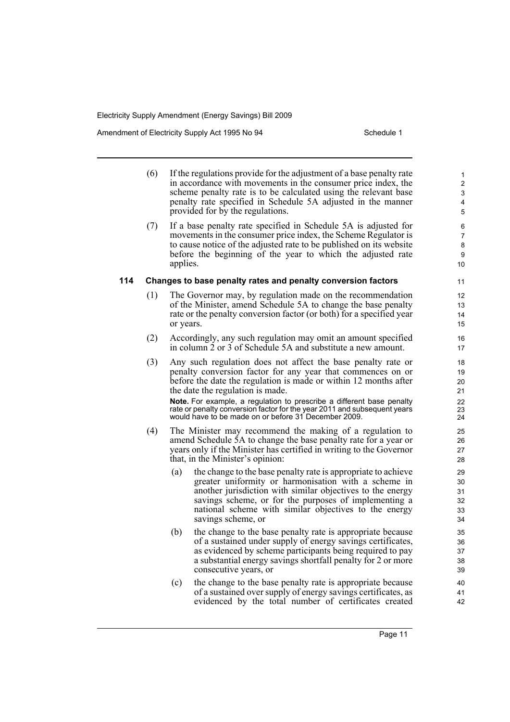Amendment of Electricity Supply Act 1995 No 94 Schedule 1

(6) If the regulations provide for the adjustment of a base penalty rate in accordance with movements in the consumer price index, the scheme penalty rate is to be calculated using the relevant base penalty rate specified in Schedule 5A adjusted in the manner provided for by the regulations. (7) If a base penalty rate specified in Schedule 5A is adjusted for movements in the consumer price index, the Scheme Regulator is to cause notice of the adjusted rate to be published on its website before the beginning of the year to which the adjusted rate applies. **114 Changes to base penalty rates and penalty conversion factors** (1) The Governor may, by regulation made on the recommendation of the Minister, amend Schedule 5A to change the base penalty rate or the penalty conversion factor (or both) for a specified year or years. (2) Accordingly, any such regulation may omit an amount specified in column 2 or 3 of Schedule 5A and substitute a new amount. (3) Any such regulation does not affect the base penalty rate or penalty conversion factor for any year that commences on or before the date the regulation is made or within 12 months after the date the regulation is made. **Note.** For example, a regulation to prescribe a different base penalty rate or penalty conversion factor for the year 2011 and subsequent years would have to be made on or before 31 December 2009. (4) The Minister may recommend the making of a regulation to amend Schedule 5A to change the base penalty rate for a year or years only if the Minister has certified in writing to the Governor that, in the Minister's opinion: (a) the change to the base penalty rate is appropriate to achieve greater uniformity or harmonisation with a scheme in another jurisdiction with similar objectives to the energy savings scheme, or for the purposes of implementing a national scheme with similar objectives to the energy savings scheme, or (b) the change to the base penalty rate is appropriate because of a sustained under supply of energy savings certificates, as evidenced by scheme participants being required to pay a substantial energy savings shortfall penalty for 2 or more consecutive years, or (c) the change to the base penalty rate is appropriate because of a sustained over supply of energy savings certificates, as evidenced by the total number of certificates created 1 2 3 4 5 6 7 8 9 10 11 12 13 14 15 16 17 18 19 20 21 22 23 24 25 26 27 28 29 30 31 32 33 34 35 36 37 38 39 40 41 42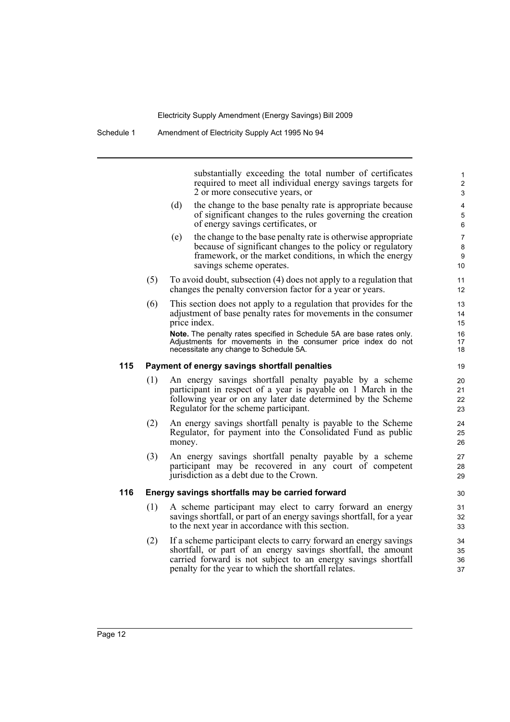substantially exceeding the total number of certificates required to meet all individual energy savings targets for 2 or more consecutive years, or

- (d) the change to the base penalty rate is appropriate because of significant changes to the rules governing the creation of energy savings certificates, or
- (e) the change to the base penalty rate is otherwise appropriate because of significant changes to the policy or regulatory framework, or the market conditions, in which the energy savings scheme operates.
- (5) To avoid doubt, subsection (4) does not apply to a regulation that changes the penalty conversion factor for a year or years.
- (6) This section does not apply to a regulation that provides for the adjustment of base penalty rates for movements in the consumer price index. **Note.** The penalty rates specified in Schedule 5A are base rates only.

Adjustments for movements in the consumer price index do not necessitate any change to Schedule 5A.

#### **115 Payment of energy savings shortfall penalties**

- (1) An energy savings shortfall penalty payable by a scheme participant in respect of a year is payable on 1 March in the following year or on any later date determined by the Scheme Regulator for the scheme participant.
- (2) An energy savings shortfall penalty is payable to the Scheme Regulator, for payment into the Consolidated Fund as public money.
- (3) An energy savings shortfall penalty payable by a scheme participant may be recovered in any court of competent jurisdiction as a debt due to the Crown.

#### **116 Energy savings shortfalls may be carried forward**

- (1) A scheme participant may elect to carry forward an energy savings shortfall, or part of an energy savings shortfall, for a year to the next year in accordance with this section.
- (2) If a scheme participant elects to carry forward an energy savings shortfall, or part of an energy savings shortfall, the amount carried forward is not subject to an energy savings shortfall penalty for the year to which the shortfall relates.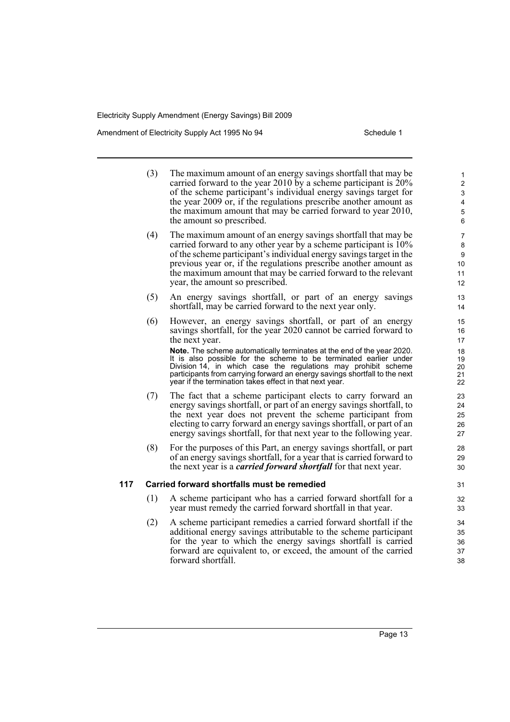Amendment of Electricity Supply Act 1995 No 94 Schedule 1

(3) The maximum amount of an energy savings shortfall that may be carried forward to the year 2010 by a scheme participant is  $20\%$ of the scheme participant's individual energy savings target for the year 2009 or, if the regulations prescribe another amount as the maximum amount that may be carried forward to year 2010, the amount so prescribed. (4) The maximum amount of an energy savings shortfall that may be carried forward to any other year by a scheme participant is 10% of the scheme participant's individual energy savings target in the previous year or, if the regulations prescribe another amount as the maximum amount that may be carried forward to the relevant year, the amount so prescribed. (5) An energy savings shortfall, or part of an energy savings shortfall, may be carried forward to the next year only. (6) However, an energy savings shortfall, or part of an energy savings shortfall, for the year 2020 cannot be carried forward to the next year. **Note.** The scheme automatically terminates at the end of the year 2020. It is also possible for the scheme to be terminated earlier under Division 14, in which case the regulations may prohibit scheme participants from carrying forward an energy savings shortfall to the next year if the termination takes effect in that next year. (7) The fact that a scheme participant elects to carry forward an energy savings shortfall, or part of an energy savings shortfall, to the next year does not prevent the scheme participant from electing to carry forward an energy savings shortfall, or part of an energy savings shortfall, for that next year to the following year. (8) For the purposes of this Part, an energy savings shortfall, or part of an energy savings shortfall, for a year that is carried forward to the next year is a *carried forward shortfall* for that next year. **117 Carried forward shortfalls must be remedied** (1) A scheme participant who has a carried forward shortfall for a year must remedy the carried forward shortfall in that year. (2) A scheme participant remedies a carried forward shortfall if the additional energy savings attributable to the scheme participant for the year to which the energy savings shortfall is carried forward are equivalent to, or exceed, the amount of the carried forward shortfall. 1 2 3 4 5 6 7 8 9 10 11 12 13 14 15 16 17 18 19  $20$ 21 22 23 24 25 26 27 28 29 30 31 32 33 34 35 36 37 38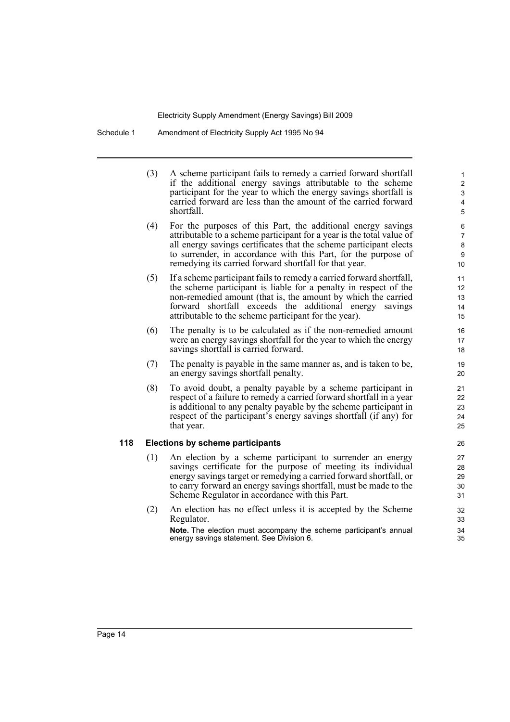Schedule 1 Amendment of Electricity Supply Act 1995 No 94

(3) A scheme participant fails to remedy a carried forward shortfall if the additional energy savings attributable to the scheme participant for the year to which the energy savings shortfall is carried forward are less than the amount of the carried forward shortfall.

- (4) For the purposes of this Part, the additional energy savings attributable to a scheme participant for a year is the total value of all energy savings certificates that the scheme participant elects to surrender, in accordance with this Part, for the purpose of remedying its carried forward shortfall for that year.
- (5) If a scheme participant fails to remedy a carried forward shortfall, the scheme participant is liable for a penalty in respect of the non-remedied amount (that is, the amount by which the carried forward shortfall exceeds the additional energy savings attributable to the scheme participant for the year).
- (6) The penalty is to be calculated as if the non-remedied amount were an energy savings shortfall for the year to which the energy savings shortfall is carried forward.
- (7) The penalty is payable in the same manner as, and is taken to be, an energy savings shortfall penalty.
- (8) To avoid doubt, a penalty payable by a scheme participant in respect of a failure to remedy a carried forward shortfall in a year is additional to any penalty payable by the scheme participant in respect of the participant's energy savings shortfall (if any) for that year.

#### **118 Elections by scheme participants**

- (1) An election by a scheme participant to surrender an energy savings certificate for the purpose of meeting its individual energy savings target or remedying a carried forward shortfall, or to carry forward an energy savings shortfall, must be made to the Scheme Regulator in accordance with this Part.
- (2) An election has no effect unless it is accepted by the Scheme Regulator.

**Note.** The election must accompany the scheme participant's annual energy savings statement. See Division 6.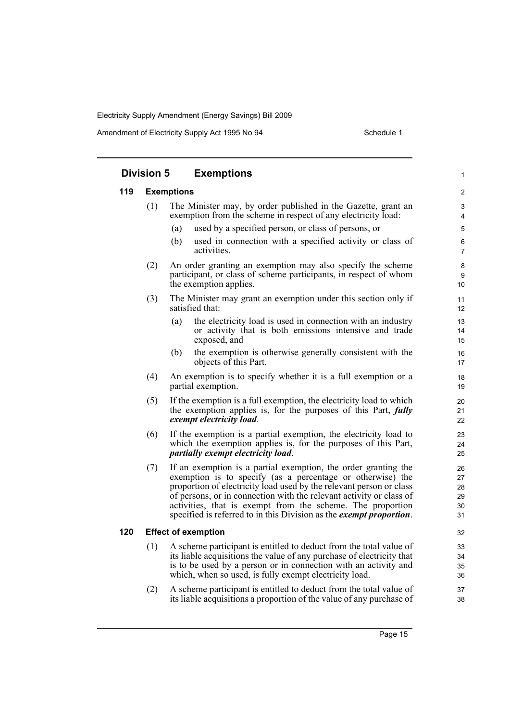|     | <b>Division 5</b> | <b>Exemptions</b>                                                                                                                                                                                                                                                                                                                                                                                                       | 1                                |
|-----|-------------------|-------------------------------------------------------------------------------------------------------------------------------------------------------------------------------------------------------------------------------------------------------------------------------------------------------------------------------------------------------------------------------------------------------------------------|----------------------------------|
| 119 |                   | <b>Exemptions</b>                                                                                                                                                                                                                                                                                                                                                                                                       | 2                                |
|     | (1)               | The Minister may, by order published in the Gazette, grant an<br>exemption from the scheme in respect of any electricity load:                                                                                                                                                                                                                                                                                          | 3<br>4                           |
|     |                   | used by a specified person, or class of persons, or<br>(a)                                                                                                                                                                                                                                                                                                                                                              | 5                                |
|     |                   | used in connection with a specified activity or class of<br>(b)<br>activities.                                                                                                                                                                                                                                                                                                                                          | 6<br>$\overline{7}$              |
|     | (2)               | An order granting an exemption may also specify the scheme<br>participant, or class of scheme participants, in respect of whom<br>the exemption applies.                                                                                                                                                                                                                                                                | 8<br>9<br>10                     |
|     | (3)               | The Minister may grant an exemption under this section only if<br>satisfied that:                                                                                                                                                                                                                                                                                                                                       | 11<br>12                         |
|     |                   | (a)<br>the electricity load is used in connection with an industry<br>or activity that is both emissions intensive and trade<br>exposed, and                                                                                                                                                                                                                                                                            | 13<br>14<br>15                   |
|     |                   | (b)<br>the exemption is otherwise generally consistent with the<br>objects of this Part.                                                                                                                                                                                                                                                                                                                                | 16<br>17                         |
|     | (4)               | An exemption is to specify whether it is a full exemption or a<br>partial exemption.                                                                                                                                                                                                                                                                                                                                    | 18<br>19                         |
|     | (5)               | If the exemption is a full exemption, the electricity load to which<br>the exemption applies is, for the purposes of this Part, <i>fully</i><br>exempt electricity load.                                                                                                                                                                                                                                                | 20<br>21<br>22                   |
|     | (6)               | If the exemption is a partial exemption, the electricity load to<br>which the exemption applies is, for the purposes of this Part,<br>partially exempt electricity load.                                                                                                                                                                                                                                                | 23<br>24<br>25                   |
|     | (7)               | If an exemption is a partial exemption, the order granting the<br>exemption is to specify (as a percentage or otherwise) the<br>proportion of electricity load used by the relevant person or class<br>of persons, or in connection with the relevant activity or class of<br>activities, that is exempt from the scheme. The proportion<br>specified is referred to in this Division as the <i>exempt proportion</i> . | 26<br>27<br>28<br>29<br>30<br>31 |
| 120 |                   | <b>Effect of exemption</b>                                                                                                                                                                                                                                                                                                                                                                                              | 32                               |
|     | (1)               | A scheme participant is entitled to deduct from the total value of<br>its liable acquisitions the value of any purchase of electricity that<br>is to be used by a person or in connection with an activity and<br>which, when so used, is fully exempt electricity load.                                                                                                                                                | 33<br>34<br>35<br>36             |
|     | (2)               | A scheme participant is entitled to deduct from the total value of<br>its liable acquisitions a proportion of the value of any purchase of                                                                                                                                                                                                                                                                              | 37<br>38                         |
|     |                   |                                                                                                                                                                                                                                                                                                                                                                                                                         |                                  |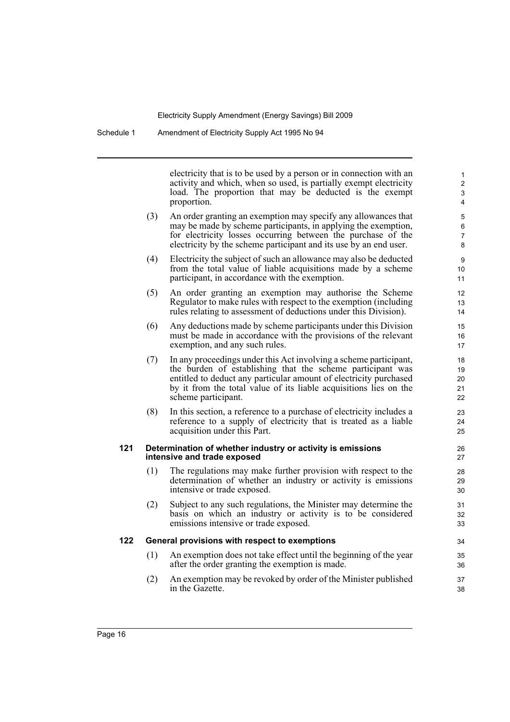electricity that is to be used by a person or in connection with an activity and which, when so used, is partially exempt electricity load. The proportion that may be deducted is the exempt proportion.

- (3) An order granting an exemption may specify any allowances that may be made by scheme participants, in applying the exemption, for electricity losses occurring between the purchase of the electricity by the scheme participant and its use by an end user.
- (4) Electricity the subject of such an allowance may also be deducted from the total value of liable acquisitions made by a scheme participant, in accordance with the exemption.
- (5) An order granting an exemption may authorise the Scheme Regulator to make rules with respect to the exemption (including rules relating to assessment of deductions under this Division).
- (6) Any deductions made by scheme participants under this Division must be made in accordance with the provisions of the relevant exemption, and any such rules.
- (7) In any proceedings under this Act involving a scheme participant, the burden of establishing that the scheme participant was entitled to deduct any particular amount of electricity purchased by it from the total value of its liable acquisitions lies on the scheme participant.
- (8) In this section, a reference to a purchase of electricity includes a reference to a supply of electricity that is treated as a liable acquisition under this Part.

#### **121 Determination of whether industry or activity is emissions intensive and trade exposed**

- (1) The regulations may make further provision with respect to the determination of whether an industry or activity is emissions intensive or trade exposed.
- (2) Subject to any such regulations, the Minister may determine the basis on which an industry or activity is to be considered emissions intensive or trade exposed.

#### **122 General provisions with respect to exemptions**

- (1) An exemption does not take effect until the beginning of the year after the order granting the exemption is made.
- (2) An exemption may be revoked by order of the Minister published in the Gazette.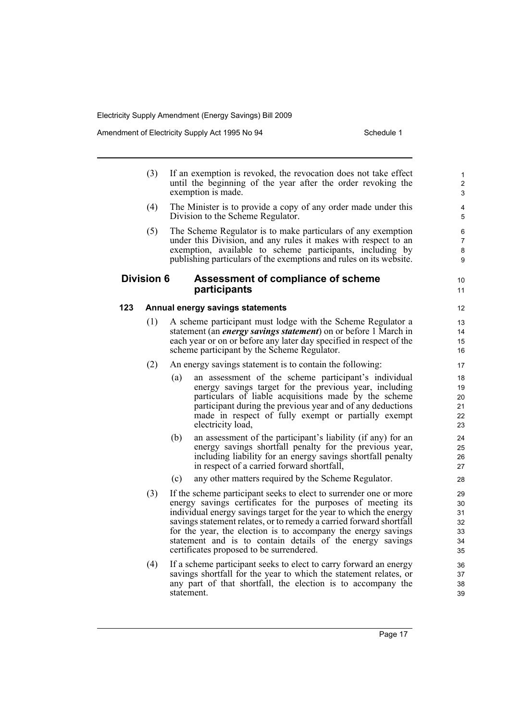Amendment of Electricity Supply Act 1995 No 94 Schedule 1

(3) If an exemption is revoked, the revocation does not take effect until the beginning of the year after the order revoking the exemption is made. (4) The Minister is to provide a copy of any order made under this Division to the Scheme Regulator. (5) The Scheme Regulator is to make particulars of any exemption under this Division, and any rules it makes with respect to an exemption, available to scheme participants, including by publishing particulars of the exemptions and rules on its website. **Division 6 Assessment of compliance of scheme participants 123 Annual energy savings statements** (1) A scheme participant must lodge with the Scheme Regulator a statement (an *energy savings statement*) on or before 1 March in each year or on or before any later day specified in respect of the scheme participant by the Scheme Regulator. (2) An energy savings statement is to contain the following: (a) an assessment of the scheme participant's individual energy savings target for the previous year, including particulars of liable acquisitions made by the scheme participant during the previous year and of any deductions made in respect of fully exempt or partially exempt electricity load, (b) an assessment of the participant's liability (if any) for an energy savings shortfall penalty for the previous year, including liability for an energy savings shortfall penalty in respect of a carried forward shortfall, (c) any other matters required by the Scheme Regulator. (3) If the scheme participant seeks to elect to surrender one or more energy savings certificates for the purposes of meeting its individual energy savings target for the year to which the energy savings statement relates, or to remedy a carried forward shortfall for the year, the election is to accompany the energy savings statement and is to contain details of the energy savings certificates proposed to be surrendered. (4) If a scheme participant seeks to elect to carry forward an energy savings shortfall for the year to which the statement relates, or any part of that shortfall, the election is to accompany the statement. 1  $\overline{2}$ 3 4 5 6 7 8 9 10 11 13 14 15 16 17 18 19 20 21 22 23 24 25 26 27 28 29 30 31 32 33 34 35 36 37 38 39

Page 17

12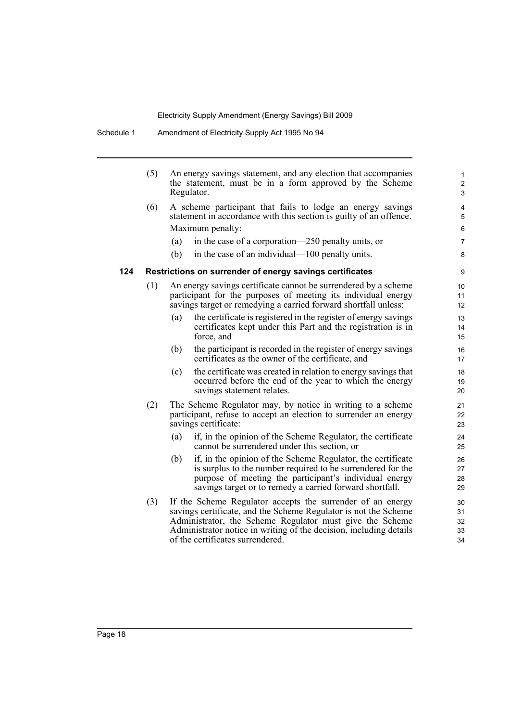Schedule 1 Amendment of Electricity Supply Act 1995 No 94

|     | (5) |     | An energy savings statement, and any election that accompanies<br>the statement, must be in a form approved by the Scheme<br>Regulator.                                                                                                                                                             | 1<br>$\overline{2}$<br>3   |
|-----|-----|-----|-----------------------------------------------------------------------------------------------------------------------------------------------------------------------------------------------------------------------------------------------------------------------------------------------------|----------------------------|
|     | (6) |     | A scheme participant that fails to lodge an energy savings<br>statement in accordance with this section is guilty of an offence.                                                                                                                                                                    | 4<br>5                     |
|     |     |     | Maximum penalty:                                                                                                                                                                                                                                                                                    | 6                          |
|     |     | (a) | in the case of a corporation—250 penalty units, or                                                                                                                                                                                                                                                  | $\overline{7}$             |
|     |     | (b) | in the case of an individual—100 penalty units.                                                                                                                                                                                                                                                     | 8                          |
| 124 |     |     | Restrictions on surrender of energy savings certificates                                                                                                                                                                                                                                            | 9                          |
|     | (1) |     | An energy savings certificate cannot be surrendered by a scheme<br>participant for the purposes of meeting its individual energy<br>savings target or remedying a carried forward shortfall unless:                                                                                                 | 10<br>11<br>12             |
|     |     | (a) | the certificate is registered in the register of energy savings<br>certificates kept under this Part and the registration is in<br>force, and                                                                                                                                                       | 13<br>14<br>15             |
|     |     | (b) | the participant is recorded in the register of energy savings<br>certificates as the owner of the certificate, and                                                                                                                                                                                  | 16<br>17                   |
|     |     | (c) | the certificate was created in relation to energy savings that<br>occurred before the end of the year to which the energy<br>savings statement relates.                                                                                                                                             | 18<br>19<br>20             |
|     | (2) |     | The Scheme Regulator may, by notice in writing to a scheme<br>participant, refuse to accept an election to surrender an energy<br>savings certificate:                                                                                                                                              | 21<br>22<br>23             |
|     |     | (a) | if, in the opinion of the Scheme Regulator, the certificate<br>cannot be surrendered under this section, or                                                                                                                                                                                         | 24<br>25                   |
|     |     | (b) | if, in the opinion of the Scheme Regulator, the certificate<br>is surplus to the number required to be surrendered for the<br>purpose of meeting the participant's individual energy<br>savings target or to remedy a carried forward shortfall.                                                    | 26<br>27<br>28<br>29       |
|     | (3) |     | If the Scheme Regulator accepts the surrender of an energy<br>savings certificate, and the Scheme Regulator is not the Scheme<br>Administrator, the Scheme Regulator must give the Scheme<br>Administrator notice in writing of the decision, including details<br>of the certificates surrendered. | 30<br>31<br>32<br>33<br>34 |
|     |     |     |                                                                                                                                                                                                                                                                                                     |                            |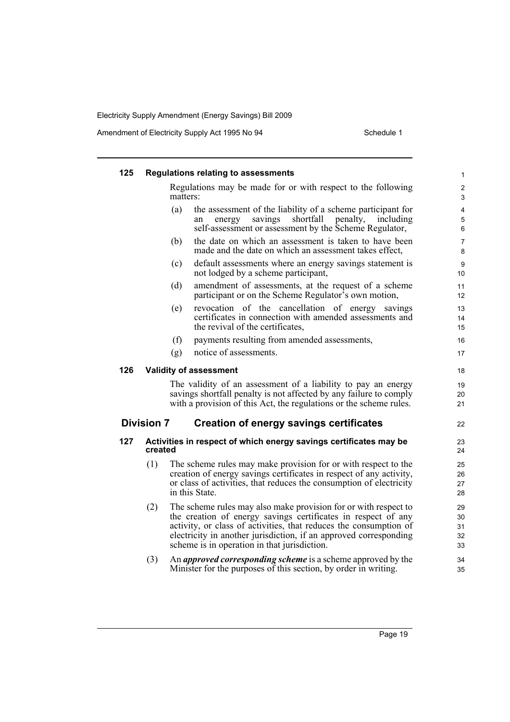| 125 |                   |          | <b>Regulations relating to assessments</b>                                                                                                                                                                                                                                                                                 | 1                          |
|-----|-------------------|----------|----------------------------------------------------------------------------------------------------------------------------------------------------------------------------------------------------------------------------------------------------------------------------------------------------------------------------|----------------------------|
|     |                   | matters: | Regulations may be made for or with respect to the following                                                                                                                                                                                                                                                               | $\overline{2}$<br>3        |
|     |                   | (a)      | the assessment of the liability of a scheme participant for<br>shortfall<br>savings<br>penalty,<br>energy<br>meluding<br>an<br>self-assessment or assessment by the Scheme Regulator,                                                                                                                                      | 4<br>5<br>6                |
|     |                   | (b)      | the date on which an assessment is taken to have been<br>made and the date on which an assessment takes effect,                                                                                                                                                                                                            | $\overline{7}$<br>8        |
|     |                   | (c)      | default assessments where an energy savings statement is<br>not lodged by a scheme participant,                                                                                                                                                                                                                            | 9<br>10                    |
|     |                   | (d)      | amendment of assessments, at the request of a scheme<br>participant or on the Scheme Regulator's own motion,                                                                                                                                                                                                               | 11<br>12                   |
|     |                   | (e)      | revocation of the cancellation of energy<br>savings<br>certificates in connection with amended assessments and<br>the revival of the certificates,                                                                                                                                                                         | 13<br>14<br>15             |
|     |                   | (f)      | payments resulting from amended assessments,                                                                                                                                                                                                                                                                               | 16                         |
|     |                   | (g)      | notice of assessments.                                                                                                                                                                                                                                                                                                     | 17                         |
| 126 |                   |          | <b>Validity of assessment</b>                                                                                                                                                                                                                                                                                              | 18                         |
|     |                   |          | The validity of an assessment of a liability to pay an energy<br>savings shortfall penalty is not affected by any failure to comply<br>with a provision of this Act, the regulations or the scheme rules.                                                                                                                  | 19<br>20<br>21             |
|     | <b>Division 7</b> |          | <b>Creation of energy savings certificates</b>                                                                                                                                                                                                                                                                             | 22                         |
| 127 | created           |          | Activities in respect of which energy savings certificates may be                                                                                                                                                                                                                                                          | 23<br>24                   |
|     | (1)               |          | The scheme rules may make provision for or with respect to the<br>creation of energy savings certificates in respect of any activity,<br>or class of activities, that reduces the consumption of electricity<br>in this State.                                                                                             | 25<br>26<br>27<br>28       |
|     | (2)               |          | The scheme rules may also make provision for or with respect to<br>the creation of energy savings certificates in respect of any<br>activity, or class of activities, that reduces the consumption of<br>electricity in another jurisdiction, if an approved corresponding<br>scheme is in operation in that jurisdiction. | 29<br>30<br>31<br>32<br>33 |
|     | (3)               |          | An <i>approved corresponding scheme</i> is a scheme approved by the<br>Minister for the purposes of this section, by order in writing.                                                                                                                                                                                     | 34<br>35                   |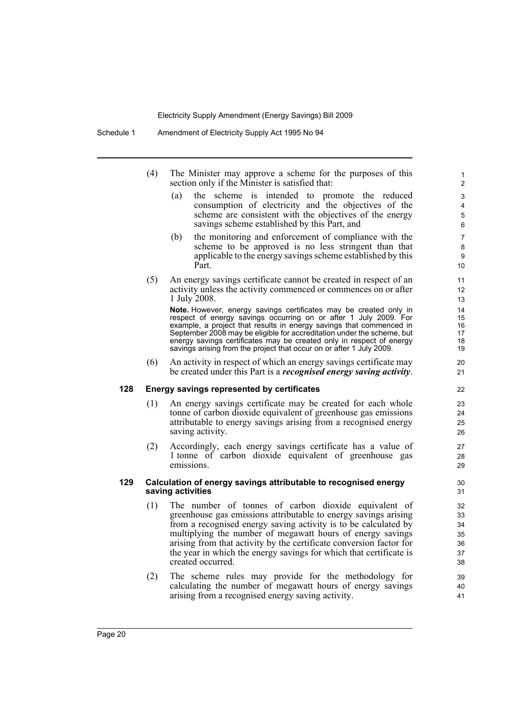- (4) The Minister may approve a scheme for the purposes of this section only if the Minister is satisfied that:
	- (a) the scheme is intended to promote the reduced consumption of electricity and the objectives of the scheme are consistent with the objectives of the energy savings scheme established by this Part, and

- (b) the monitoring and enforcement of compliance with the scheme to be approved is no less stringent than that applicable to the energy savings scheme established by this Part.
- (5) An energy savings certificate cannot be created in respect of an activity unless the activity commenced or commences on or after 1 July 2008.

**Note.** However, energy savings certificates may be created only in respect of energy savings occurring on or after 1 July 2009. For example, a project that results in energy savings that commenced in September 2008 may be eligible for accreditation under the scheme, but energy savings certificates may be created only in respect of energy savings arising from the project that occur on or after 1 July 2009.

(6) An activity in respect of which an energy savings certificate may be created under this Part is a *recognised energy saving activity*.

#### **128 Energy savings represented by certificates**

- (1) An energy savings certificate may be created for each whole tonne of carbon dioxide equivalent of greenhouse gas emissions attributable to energy savings arising from a recognised energy saving activity.
- (2) Accordingly, each energy savings certificate has a value of 1 tonne of carbon dioxide equivalent of greenhouse gas emissions.

#### **129 Calculation of energy savings attributable to recognised energy saving activities**

- (1) The number of tonnes of carbon dioxide equivalent of greenhouse gas emissions attributable to energy savings arising from a recognised energy saving activity is to be calculated by multiplying the number of megawatt hours of energy savings arising from that activity by the certificate conversion factor for the year in which the energy savings for which that certificate is created occurred.
- (2) The scheme rules may provide for the methodology for calculating the number of megawatt hours of energy savings arising from a recognised energy saving activity.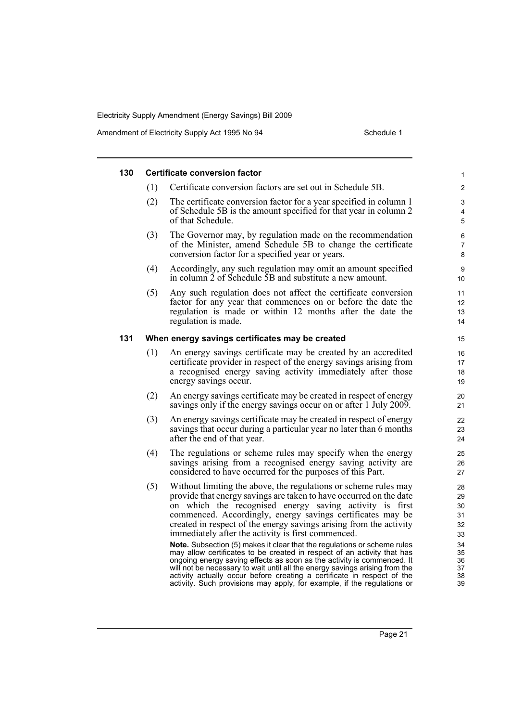| 130 |     | <b>Certificate conversion factor</b>                                                                                                                                                                                                                                                                                                                                                                                                                               | 1                                |
|-----|-----|--------------------------------------------------------------------------------------------------------------------------------------------------------------------------------------------------------------------------------------------------------------------------------------------------------------------------------------------------------------------------------------------------------------------------------------------------------------------|----------------------------------|
|     | (1) | Certificate conversion factors are set out in Schedule 5B.                                                                                                                                                                                                                                                                                                                                                                                                         | $\overline{c}$                   |
|     | (2) | The certificate conversion factor for a year specified in column 1<br>of Schedule 5B is the amount specified for that year in column 2<br>of that Schedule.                                                                                                                                                                                                                                                                                                        | 3<br>$\overline{4}$<br>5         |
|     | (3) | The Governor may, by regulation made on the recommendation<br>of the Minister, amend Schedule 5B to change the certificate<br>conversion factor for a specified year or years.                                                                                                                                                                                                                                                                                     | 6<br>$\overline{7}$<br>8         |
|     | (4) | Accordingly, any such regulation may omit an amount specified<br>in column 2 of Schedule 5B and substitute a new amount.                                                                                                                                                                                                                                                                                                                                           | 9<br>10                          |
|     | (5) | Any such regulation does not affect the certificate conversion<br>factor for any year that commences on or before the date the<br>regulation is made or within 12 months after the date the<br>regulation is made.                                                                                                                                                                                                                                                 | 11<br>12<br>13<br>14             |
| 131 |     | When energy savings certificates may be created                                                                                                                                                                                                                                                                                                                                                                                                                    | 15                               |
|     | (1) | An energy savings certificate may be created by an accredited<br>certificate provider in respect of the energy savings arising from<br>a recognised energy saving activity immediately after those<br>energy savings occur.                                                                                                                                                                                                                                        | 16<br>17<br>18<br>19             |
|     | (2) | An energy savings certificate may be created in respect of energy<br>savings only if the energy savings occur on or after 1 July 2009.                                                                                                                                                                                                                                                                                                                             | 20<br>21                         |
|     | (3) | An energy savings certificate may be created in respect of energy<br>savings that occur during a particular year no later than 6 months<br>after the end of that year.                                                                                                                                                                                                                                                                                             | 22<br>23<br>24                   |
|     | (4) | The regulations or scheme rules may specify when the energy<br>savings arising from a recognised energy saving activity are<br>considered to have occurred for the purposes of this Part.                                                                                                                                                                                                                                                                          | 25<br>26<br>27                   |
|     | (5) | Without limiting the above, the regulations or scheme rules may<br>provide that energy savings are taken to have occurred on the date<br>on which the recognised energy saving activity is first<br>commenced. Accordingly, energy savings certificates may be<br>created in respect of the energy savings arising from the activity<br>immediately after the activity is first commenced.                                                                         | 28<br>29<br>30<br>31<br>32<br>33 |
|     |     | Note. Subsection (5) makes it clear that the regulations or scheme rules<br>may allow certificates to be created in respect of an activity that has<br>ongoing energy saving effects as soon as the activity is commenced. It<br>will not be necessary to wait until all the energy savings arising from the<br>activity actually occur before creating a certificate in respect of the<br>activity. Such provisions may apply, for example, if the regulations or | 34<br>35<br>36<br>37<br>38<br>39 |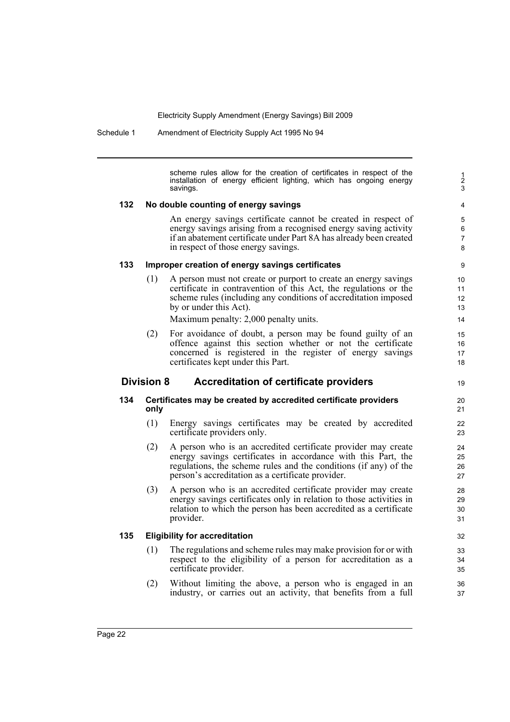Schedule 1 Amendment of Electricity Supply Act 1995 No 94

scheme rules allow for the creation of certificates in respect of the installation of energy efficient lighting, which has ongoing energy savings.

#### **132 No double counting of energy savings**

An energy savings certificate cannot be created in respect of energy savings arising from a recognised energy saving activity if an abatement certificate under Part 8A has already been created in respect of those energy savings.

#### **133 Improper creation of energy savings certificates**

(1) A person must not create or purport to create an energy savings certificate in contravention of this Act, the regulations or the scheme rules (including any conditions of accreditation imposed by or under this Act).

Maximum penalty: 2,000 penalty units.

(2) For avoidance of doubt, a person may be found guilty of an offence against this section whether or not the certificate concerned is registered in the register of energy savings certificates kept under this Part.

# **Division 8 Accreditation of certificate providers**

#### **134 Certificates may be created by accredited certificate providers only**

- (1) Energy savings certificates may be created by accredited certificate providers only.
- (2) A person who is an accredited certificate provider may create energy savings certificates in accordance with this Part, the regulations, the scheme rules and the conditions (if any) of the person's accreditation as a certificate provider.
- (3) A person who is an accredited certificate provider may create energy savings certificates only in relation to those activities in relation to which the person has been accredited as a certificate provider.

#### **135 Eligibility for accreditation**

- (1) The regulations and scheme rules may make provision for or with respect to the eligibility of a person for accreditation as a certificate provider.
- (2) Without limiting the above, a person who is engaged in an industry, or carries out an activity, that benefits from a full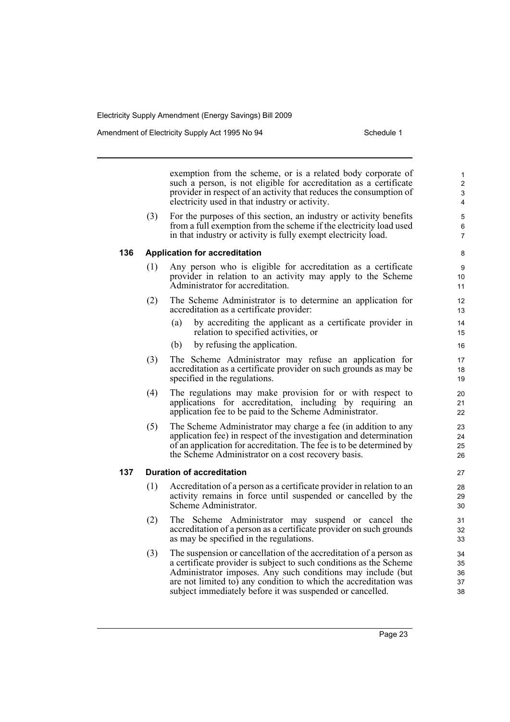exemption from the scheme, or is a related body corporate of such a person, is not eligible for accreditation as a certificate provider in respect of an activity that reduces the consumption of electricity used in that industry or activity.

(3) For the purposes of this section, an industry or activity benefits from a full exemption from the scheme if the electricity load used in that industry or activity is fully exempt electricity load.

# 7 8

- **136 Application for accreditation**
	- (1) Any person who is eligible for accreditation as a certificate provider in relation to an activity may apply to the Scheme Administrator for accreditation.
	- (2) The Scheme Administrator is to determine an application for accreditation as a certificate provider:
		- (a) by accrediting the applicant as a certificate provider in relation to specified activities, or
		- (b) by refusing the application.
	- (3) The Scheme Administrator may refuse an application for accreditation as a certificate provider on such grounds as may be specified in the regulations.
	- (4) The regulations may make provision for or with respect to applications for accreditation, including by requiring an application fee to be paid to the Scheme Administrator.
	- (5) The Scheme Administrator may charge a fee (in addition to any application fee) in respect of the investigation and determination of an application for accreditation. The fee is to be determined by the Scheme Administrator on a cost recovery basis.

#### **137 Duration of accreditation**

- (1) Accreditation of a person as a certificate provider in relation to an activity remains in force until suspended or cancelled by the Scheme Administrator.
- (2) The Scheme Administrator may suspend or cancel the accreditation of a person as a certificate provider on such grounds as may be specified in the regulations.
- (3) The suspension or cancellation of the accreditation of a person as a certificate provider is subject to such conditions as the Scheme Administrator imposes. Any such conditions may include (but are not limited to) any condition to which the accreditation was subject immediately before it was suspended or cancelled.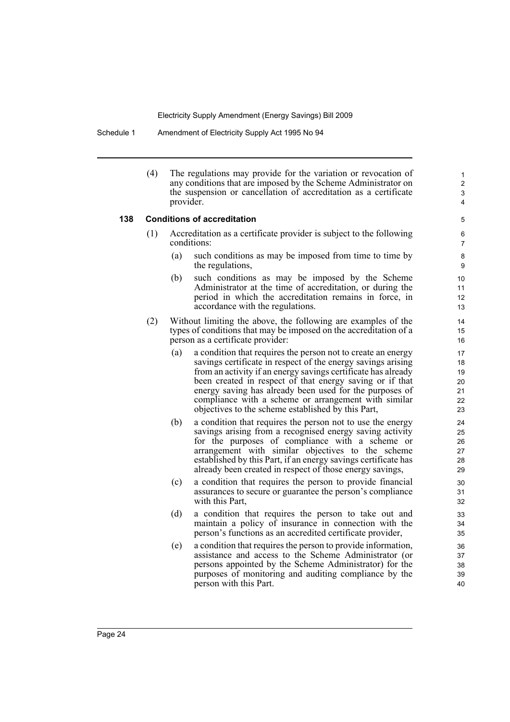#### Schedule 1 Amendment of Electricity Supply Act 1995 No 94

(4) The regulations may provide for the variation or revocation of any conditions that are imposed by the Scheme Administrator on the suspension or cancellation of accreditation as a certificate provider.

#### **138 Conditions of accreditation**

- (1) Accreditation as a certificate provider is subject to the following conditions:
	- (a) such conditions as may be imposed from time to time by the regulations,

- (b) such conditions as may be imposed by the Scheme Administrator at the time of accreditation, or during the period in which the accreditation remains in force, in accordance with the regulations.
- (2) Without limiting the above, the following are examples of the types of conditions that may be imposed on the accreditation of a person as a certificate provider:
	- (a) a condition that requires the person not to create an energy savings certificate in respect of the energy savings arising from an activity if an energy savings certificate has already been created in respect of that energy saving or if that energy saving has already been used for the purposes of compliance with a scheme or arrangement with similar objectives to the scheme established by this Part,
	- (b) a condition that requires the person not to use the energy savings arising from a recognised energy saving activity for the purposes of compliance with a scheme or arrangement with similar objectives to the scheme established by this Part, if an energy savings certificate has already been created in respect of those energy savings,
	- (c) a condition that requires the person to provide financial assurances to secure or guarantee the person's compliance with this Part,
	- (d) a condition that requires the person to take out and maintain a policy of insurance in connection with the person's functions as an accredited certificate provider,
	- (e) a condition that requires the person to provide information, assistance and access to the Scheme Administrator (or persons appointed by the Scheme Administrator) for the purposes of monitoring and auditing compliance by the person with this Part.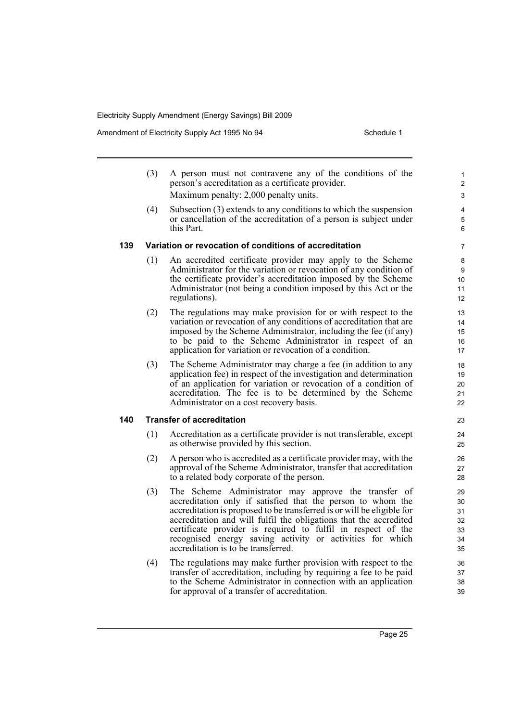Amendment of Electricity Supply Act 1995 No 94 Schedule 1

- (3) A person must not contravene any of the conditions of the person's accreditation as a certificate provider. Maximum penalty: 2,000 penalty units.
- (4) Subsection (3) extends to any conditions to which the suspension or cancellation of the accreditation of a person is subject under this Part.

#### **139 Variation or revocation of conditions of accreditation**

- (1) An accredited certificate provider may apply to the Scheme Administrator for the variation or revocation of any condition of the certificate provider's accreditation imposed by the Scheme Administrator (not being a condition imposed by this Act or the regulations).
- (2) The regulations may make provision for or with respect to the variation or revocation of any conditions of accreditation that are imposed by the Scheme Administrator, including the fee (if any) to be paid to the Scheme Administrator in respect of an application for variation or revocation of a condition.
- (3) The Scheme Administrator may charge a fee (in addition to any application fee) in respect of the investigation and determination of an application for variation or revocation of a condition of accreditation. The fee is to be determined by the Scheme Administrator on a cost recovery basis.

#### **140 Transfer of accreditation**

- (1) Accreditation as a certificate provider is not transferable, except as otherwise provided by this section.
- (2) A person who is accredited as a certificate provider may, with the approval of the Scheme Administrator, transfer that accreditation to a related body corporate of the person.
- (3) The Scheme Administrator may approve the transfer of accreditation only if satisfied that the person to whom the accreditation is proposed to be transferred is or will be eligible for accreditation and will fulfil the obligations that the accredited certificate provider is required to fulfil in respect of the recognised energy saving activity or activities for which accreditation is to be transferred.
- (4) The regulations may make further provision with respect to the transfer of accreditation, including by requiring a fee to be paid to the Scheme Administrator in connection with an application for approval of a transfer of accreditation.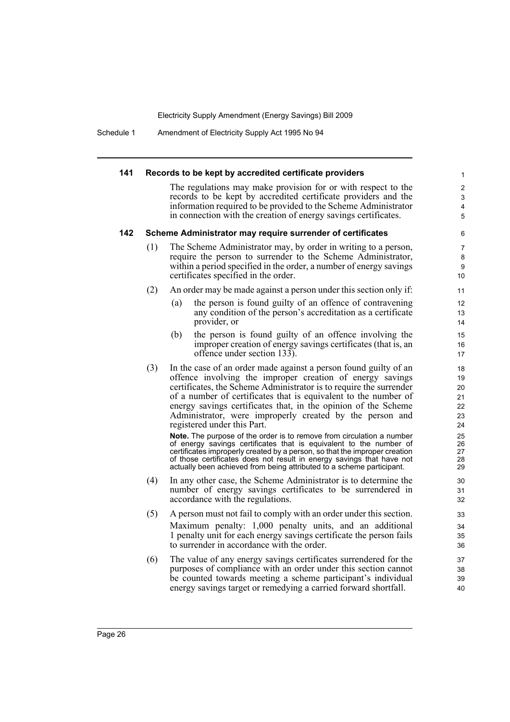Schedule 1 Amendment of Electricity Supply Act 1995 No 94

#### **141 Records to be kept by accredited certificate providers** The regulations may make provision for or with respect to the records to be kept by accredited certificate providers and the information required to be provided to the Scheme Administrator in connection with the creation of energy savings certificates. **142 Scheme Administrator may require surrender of certificates** (1) The Scheme Administrator may, by order in writing to a person, require the person to surrender to the Scheme Administrator, within a period specified in the order, a number of energy savings certificates specified in the order. (2) An order may be made against a person under this section only if: (a) the person is found guilty of an offence of contravening any condition of the person's accreditation as a certificate provider, or (b) the person is found guilty of an offence involving the improper creation of energy savings certificates (that is, an offence under section 133). (3) In the case of an order made against a person found guilty of an offence involving the improper creation of energy savings certificates, the Scheme Administrator is to require the surrender of a number of certificates that is equivalent to the number of energy savings certificates that, in the opinion of the Scheme Administrator, were improperly created by the person and registered under this Part. **Note.** The purpose of the order is to remove from circulation a number of energy savings certificates that is equivalent to the number of certificates improperly created by a person, so that the improper creation of those certificates does not result in energy savings that have not actually been achieved from being attributed to a scheme participant. (4) In any other case, the Scheme Administrator is to determine the number of energy savings certificates to be surrendered in accordance with the regulations. (5) A person must not fail to comply with an order under this section. Maximum penalty: 1,000 penalty units, and an additional 1 penalty unit for each energy savings certificate the person fails to surrender in accordance with the order. (6) The value of any energy savings certificates surrendered for the purposes of compliance with an order under this section cannot be counted towards meeting a scheme participant's individual energy savings target or remedying a carried forward shortfall. 1 2 3 4 5 6 7 8 9 10 11 12 13 14 15 16 17 18 19  $20$ 21 22 23  $24$ 25 26 27 28 29 30 31 32 33 34 35 36 37 38 39 40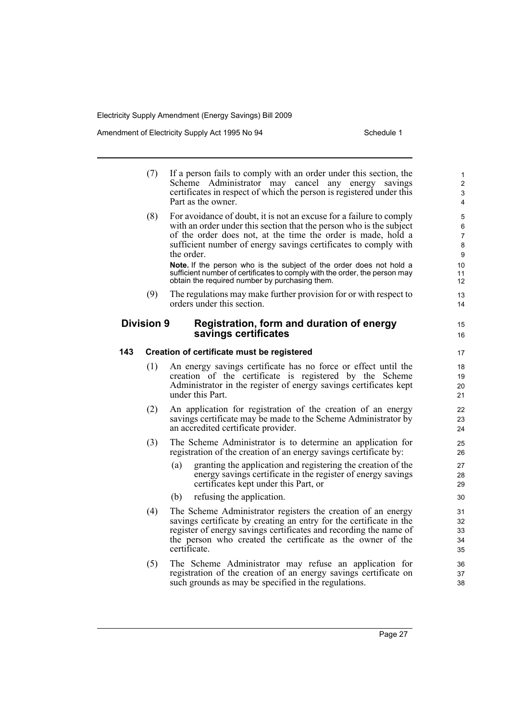Amendment of Electricity Supply Act 1995 No 94 Schedule 1

15 16

- (7) If a person fails to comply with an order under this section, the Scheme Administrator may cancel any energy savings certificates in respect of which the person is registered under this Part as the owner. (8) For avoidance of doubt, it is not an excuse for a failure to comply with an order under this section that the person who is the subject
	- of the order does not, at the time the order is made, hold a sufficient number of energy savings certificates to comply with the order. **Note.** If the person who is the subject of the order does not hold a

sufficient number of certificates to comply with the order, the person may obtain the required number by purchasing them.

(9) The regulations may make further provision for or with respect to orders under this section.

### **Division 9 Registration, form and duration of energy savings certificates**

#### **143 Creation of certificate must be registered**

- (1) An energy savings certificate has no force or effect until the creation of the certificate is registered by the Scheme Administrator in the register of energy savings certificates kept under this Part.
- (2) An application for registration of the creation of an energy savings certificate may be made to the Scheme Administrator by an accredited certificate provider.
- (3) The Scheme Administrator is to determine an application for registration of the creation of an energy savings certificate by:
	- (a) granting the application and registering the creation of the energy savings certificate in the register of energy savings certificates kept under this Part, or
	- (b) refusing the application.
- (4) The Scheme Administrator registers the creation of an energy savings certificate by creating an entry for the certificate in the register of energy savings certificates and recording the name of the person who created the certificate as the owner of the certificate.
- (5) The Scheme Administrator may refuse an application for registration of the creation of an energy savings certificate on such grounds as may be specified in the regulations.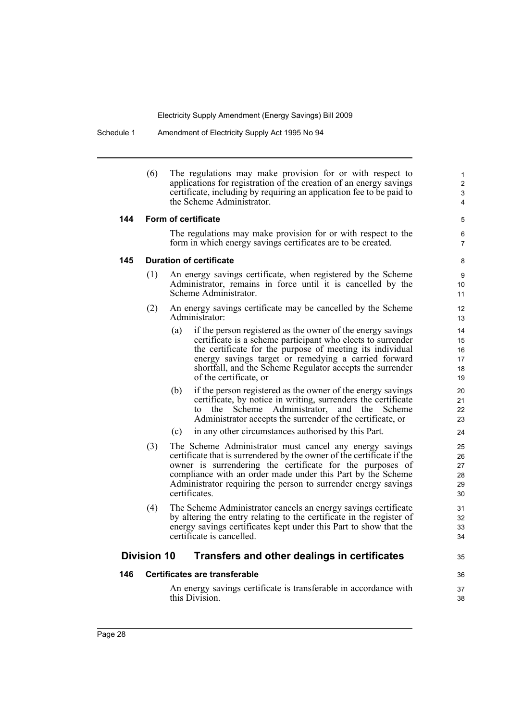Schedule 1 Amendment of Electricity Supply Act 1995 No 94

(6) The regulations may make provision for or with respect to applications for registration of the creation of an energy savings certificate, including by requiring an application fee to be paid to the Scheme Administrator.

#### **144 Form of certificate**

The regulations may make provision for or with respect to the form in which energy savings certificates are to be created.

5 6 7

35

36 37 38

#### **145 Duration of certificate**

- (1) An energy savings certificate, when registered by the Scheme Administrator, remains in force until it is cancelled by the Scheme Administrator.
- (2) An energy savings certificate may be cancelled by the Scheme Administrator:
	- (a) if the person registered as the owner of the energy savings certificate is a scheme participant who elects to surrender the certificate for the purpose of meeting its individual energy savings target or remedying a carried forward shortfall, and the Scheme Regulator accepts the surrender of the certificate, or
	- (b) if the person registered as the owner of the energy savings certificate, by notice in writing, surrenders the certificate to the Scheme Administrator, and the Scheme Administrator accepts the surrender of the certificate, or
	- (c) in any other circumstances authorised by this Part.
- (3) The Scheme Administrator must cancel any energy savings certificate that is surrendered by the owner of the certificate if the owner is surrendering the certificate for the purposes of compliance with an order made under this Part by the Scheme Administrator requiring the person to surrender energy savings certificates.
- (4) The Scheme Administrator cancels an energy savings certificate by altering the entry relating to the certificate in the register of energy savings certificates kept under this Part to show that the certificate is cancelled.

# **Division 10 Transfers and other dealings in certificates**

#### **146 Certificates are transferable**

An energy savings certificate is transferable in accordance with this Division.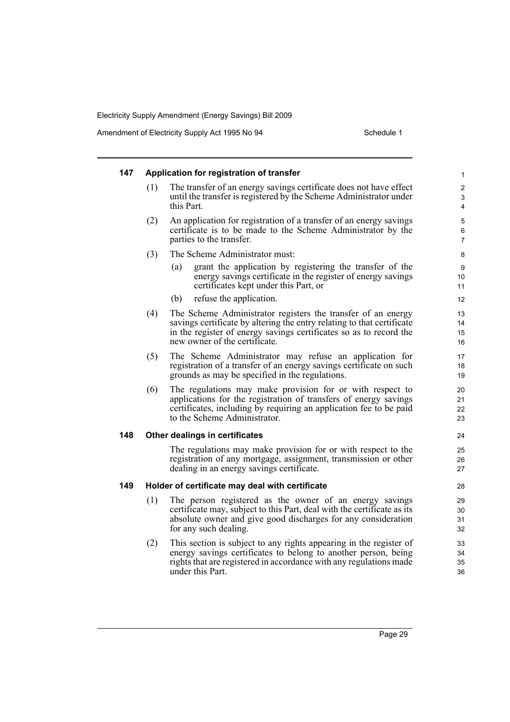| 147 |     | Application for registration of transfer                                                                                                                                                                                                      | 1                                     |
|-----|-----|-----------------------------------------------------------------------------------------------------------------------------------------------------------------------------------------------------------------------------------------------|---------------------------------------|
|     | (1) | The transfer of an energy savings certificate does not have effect<br>until the transfer is registered by the Scheme Administrator under<br>this Part.                                                                                        | $\overline{c}$<br>3<br>$\overline{4}$ |
|     | (2) | An application for registration of a transfer of an energy savings<br>certificate is to be made to the Scheme Administrator by the<br>parties to the transfer.                                                                                | 5<br>6<br>7                           |
|     | (3) | The Scheme Administrator must:                                                                                                                                                                                                                | 8                                     |
|     |     | grant the application by registering the transfer of the<br>(a)<br>energy savings certificate in the register of energy savings<br>certificates kept under this Part, or                                                                      | 9<br>10<br>11                         |
|     |     | refuse the application.<br>(b)                                                                                                                                                                                                                | 12                                    |
|     | (4) | The Scheme Administrator registers the transfer of an energy<br>savings certificate by altering the entry relating to that certificate<br>in the register of energy savings certificates so as to record the<br>new owner of the certificate. | 13<br>14<br>15<br>16                  |
|     | (5) | The Scheme Administrator may refuse an application for<br>registration of a transfer of an energy savings certificate on such<br>grounds as may be specified in the regulations.                                                              | 17<br>18<br>19                        |
|     | (6) | The regulations may make provision for or with respect to<br>applications for the registration of transfers of energy savings<br>certificates, including by requiring an application fee to be paid<br>to the Scheme Administrator.           | 20<br>21<br>22<br>23                  |
| 148 |     | Other dealings in certificates                                                                                                                                                                                                                | 24                                    |
|     |     | The regulations may make provision for or with respect to the<br>registration of any mortgage, assignment, transmission or other<br>dealing in an energy savings certificate.                                                                 | 25<br>26<br>27                        |
| 149 |     | Holder of certificate may deal with certificate                                                                                                                                                                                               | 28                                    |
|     | (1) | The person registered as the owner of an energy savings<br>certificate may, subject to this Part, deal with the certificate as its<br>absolute owner and give good discharges for any consideration<br>for any such dealing.                  | 29<br>30<br>31<br>32                  |
|     | (2) | This section is subject to any rights appearing in the register of<br>energy savings certificates to belong to another person, being<br>rights that are registered in accordance with any regulations made<br>under this Part.                | 33<br>34<br>35<br>36                  |
|     |     |                                                                                                                                                                                                                                               |                                       |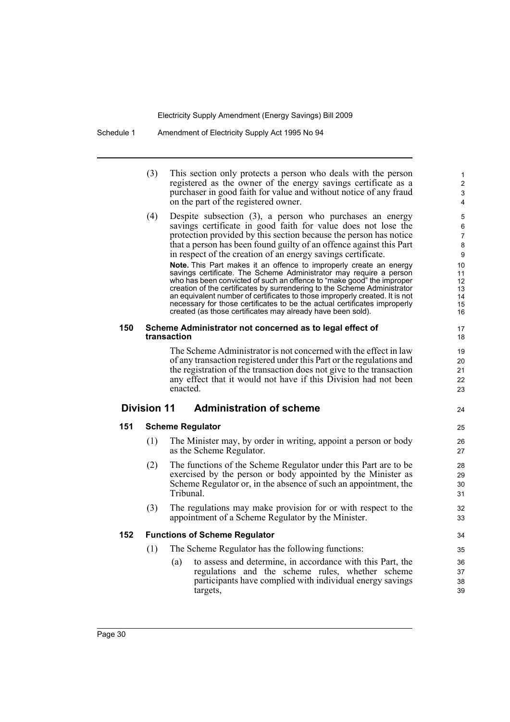Schedule 1 Amendment of Electricity Supply Act 1995 No 94

|     | (3)                | This section only protects a person who deals with the person<br>registered as the owner of the energy savings certificate as a<br>purchaser in good faith for value and without notice of any fraud<br>on the part of the registered owner.                                                                                                                                                                                                                                                                             | 1<br>$\overline{c}$<br>3<br>4          |
|-----|--------------------|--------------------------------------------------------------------------------------------------------------------------------------------------------------------------------------------------------------------------------------------------------------------------------------------------------------------------------------------------------------------------------------------------------------------------------------------------------------------------------------------------------------------------|----------------------------------------|
|     | (4)                | Despite subsection $(3)$ , a person who purchases an energy<br>savings certificate in good faith for value does not lose the<br>protection provided by this section because the person has notice<br>that a person has been found guilty of an offence against this Part<br>in respect of the creation of an energy savings certificate.                                                                                                                                                                                 | 5<br>6<br>7<br>8<br>9                  |
|     |                    | Note. This Part makes it an offence to improperly create an energy<br>savings certificate. The Scheme Administrator may require a person<br>who has been convicted of such an offence to "make good" the improper<br>creation of the certificates by surrendering to the Scheme Administrator<br>an equivalent number of certificates to those improperly created. It is not<br>necessary for those certificates to be the actual certificates improperly<br>created (as those certificates may already have been sold). | 10<br>11<br>12<br>13<br>14<br>15<br>16 |
| 150 |                    | Scheme Administrator not concerned as to legal effect of<br>transaction                                                                                                                                                                                                                                                                                                                                                                                                                                                  | 17<br>18                               |
|     |                    | The Scheme Administrator is not concerned with the effect in law<br>of any transaction registered under this Part or the regulations and<br>the registration of the transaction does not give to the transaction                                                                                                                                                                                                                                                                                                         | 19<br>20                               |
|     |                    | any effect that it would not have if this Division had not been<br>enacted.                                                                                                                                                                                                                                                                                                                                                                                                                                              | 21<br>22<br>23                         |
|     | <b>Division 11</b> | <b>Administration of scheme</b>                                                                                                                                                                                                                                                                                                                                                                                                                                                                                          |                                        |
| 151 |                    | <b>Scheme Regulator</b>                                                                                                                                                                                                                                                                                                                                                                                                                                                                                                  | 24<br>25                               |
|     | (1)                | The Minister may, by order in writing, appoint a person or body<br>as the Scheme Regulator.                                                                                                                                                                                                                                                                                                                                                                                                                              | 26<br>27                               |
|     | (2)                | The functions of the Scheme Regulator under this Part are to be<br>exercised by the person or body appointed by the Minister as<br>Scheme Regulator or, in the absence of such an appointment, the<br>Tribunal.                                                                                                                                                                                                                                                                                                          | 28<br>29<br>30<br>31                   |
|     | (3)                | The regulations may make provision for or with respect to the<br>appointment of a Scheme Regulator by the Minister.                                                                                                                                                                                                                                                                                                                                                                                                      | 32<br>33                               |
| 152 |                    | <b>Functions of Scheme Regulator</b>                                                                                                                                                                                                                                                                                                                                                                                                                                                                                     | 34                                     |
|     | (1)                | The Scheme Regulator has the following functions:                                                                                                                                                                                                                                                                                                                                                                                                                                                                        | 35                                     |
|     |                    | to assess and determine, in accordance with this Part, the<br>(a)<br>regulations and the scheme rules, whether scheme<br>participants have complied with individual energy savings<br>targets,                                                                                                                                                                                                                                                                                                                           | 36<br>37<br>38<br>39                   |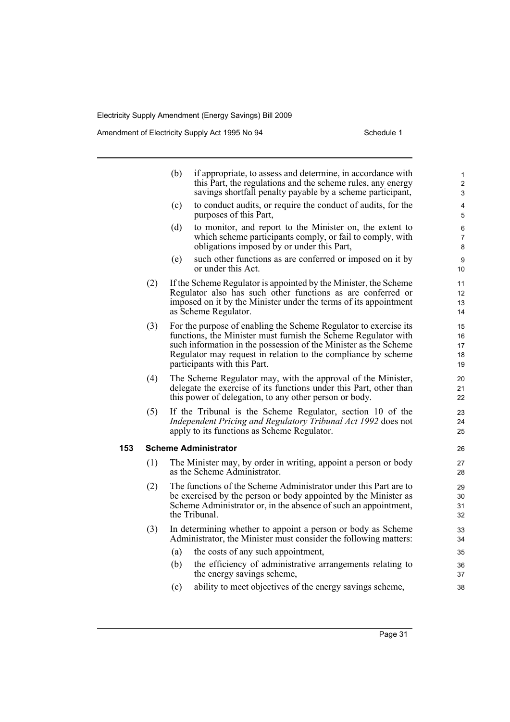|     |     | (b) | if appropriate, to assess and determine, in accordance with<br>this Part, the regulations and the scheme rules, any energy<br>savings shortfall penalty payable by a scheme participant,                                                                                                                | $\mathbf{1}$<br>$\overline{2}$<br>3 |
|-----|-----|-----|---------------------------------------------------------------------------------------------------------------------------------------------------------------------------------------------------------------------------------------------------------------------------------------------------------|-------------------------------------|
|     |     | (c) | to conduct audits, or require the conduct of audits, for the<br>purposes of this Part,                                                                                                                                                                                                                  | 4<br>5                              |
|     |     | (d) | to monitor, and report to the Minister on, the extent to<br>which scheme participants comply, or fail to comply, with<br>obligations imposed by or under this Part,                                                                                                                                     | 6<br>7<br>8                         |
|     |     | (e) | such other functions as are conferred or imposed on it by<br>or under this Act.                                                                                                                                                                                                                         | 9<br>10                             |
|     | (2) |     | If the Scheme Regulator is appointed by the Minister, the Scheme<br>Regulator also has such other functions as are conferred or<br>imposed on it by the Minister under the terms of its appointment<br>as Scheme Regulator.                                                                             | 11<br>12<br>13<br>14                |
|     | (3) |     | For the purpose of enabling the Scheme Regulator to exercise its<br>functions, the Minister must furnish the Scheme Regulator with<br>such information in the possession of the Minister as the Scheme<br>Regulator may request in relation to the compliance by scheme<br>participants with this Part. | 15<br>16<br>17<br>18<br>19          |
|     | (4) |     | The Scheme Regulator may, with the approval of the Minister,<br>delegate the exercise of its functions under this Part, other than<br>this power of delegation, to any other person or body.                                                                                                            | 20<br>21<br>22                      |
|     | (5) |     | If the Tribunal is the Scheme Regulator, section 10 of the<br>Independent Pricing and Regulatory Tribunal Act 1992 does not<br>apply to its functions as Scheme Regulator.                                                                                                                              | 23<br>24<br>25                      |
| 153 |     |     | <b>Scheme Administrator</b>                                                                                                                                                                                                                                                                             | 26                                  |
|     | (1) |     | The Minister may, by order in writing, appoint a person or body<br>as the Scheme Administrator.                                                                                                                                                                                                         | 27<br>28                            |
|     | (2) |     | The functions of the Scheme Administrator under this Part are to<br>be exercised by the person or body appointed by the Minister as<br>Scheme Administrator or, in the absence of such an appointment,<br>the Tribunal.                                                                                 | 29<br>30<br>31<br>32                |
|     | (3) |     | In determining whether to appoint a person or body as Scheme<br>Administrator, the Minister must consider the following matters:                                                                                                                                                                        | 33<br>34                            |
|     |     | (a) | the costs of any such appointment,                                                                                                                                                                                                                                                                      | 35                                  |
|     |     | (b) | the efficiency of administrative arrangements relating to<br>the energy savings scheme,                                                                                                                                                                                                                 | 36<br>37                            |
|     |     | (c) | ability to meet objectives of the energy savings scheme,                                                                                                                                                                                                                                                | 38                                  |
|     |     |     |                                                                                                                                                                                                                                                                                                         |                                     |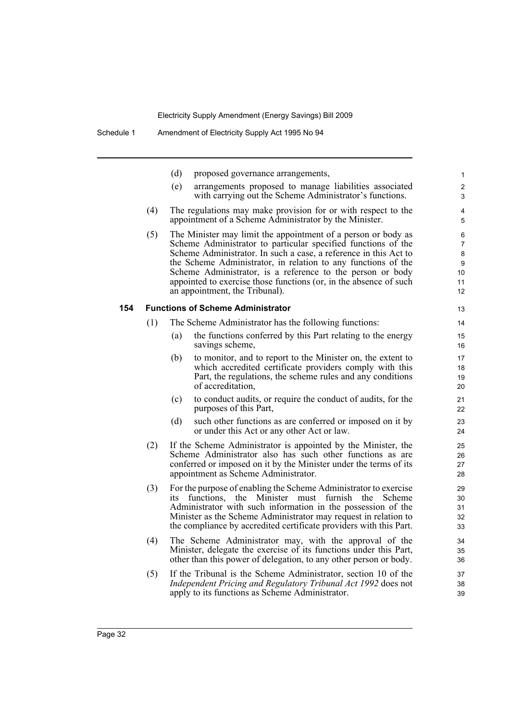|     |     | (d) | proposed governance arrangements,                                                                                                                                                                                                                                                                                                                                                                                                        | 1                                               |
|-----|-----|-----|------------------------------------------------------------------------------------------------------------------------------------------------------------------------------------------------------------------------------------------------------------------------------------------------------------------------------------------------------------------------------------------------------------------------------------------|-------------------------------------------------|
|     |     | (e) | arrangements proposed to manage liabilities associated<br>with carrying out the Scheme Administrator's functions.                                                                                                                                                                                                                                                                                                                        | $\overline{2}$<br>3                             |
|     | (4) |     | The regulations may make provision for or with respect to the<br>appointment of a Scheme Administrator by the Minister.                                                                                                                                                                                                                                                                                                                  | 4<br>5                                          |
|     | (5) |     | The Minister may limit the appointment of a person or body as<br>Scheme Administrator to particular specified functions of the<br>Scheme Administrator. In such a case, a reference in this Act to<br>the Scheme Administrator, in relation to any functions of the<br>Scheme Administrator, is a reference to the person or body<br>appointed to exercise those functions (or, in the absence of such<br>an appointment, the Tribunal). | 6<br>$\overline{7}$<br>8<br>9<br>10<br>11<br>12 |
| 154 |     |     | <b>Functions of Scheme Administrator</b>                                                                                                                                                                                                                                                                                                                                                                                                 | 13                                              |
|     | (1) |     | The Scheme Administrator has the following functions:                                                                                                                                                                                                                                                                                                                                                                                    | 14                                              |
|     |     | (a) | the functions conferred by this Part relating to the energy<br>savings scheme,                                                                                                                                                                                                                                                                                                                                                           | 15<br>16                                        |
|     |     | (b) | to monitor, and to report to the Minister on, the extent to<br>which accredited certificate providers comply with this<br>Part, the regulations, the scheme rules and any conditions<br>of accreditation,                                                                                                                                                                                                                                | 17<br>18<br>19<br>20                            |
|     |     | (c) | to conduct audits, or require the conduct of audits, for the<br>purposes of this Part,                                                                                                                                                                                                                                                                                                                                                   | 21<br>22                                        |
|     |     | (d) | such other functions as are conferred or imposed on it by<br>or under this Act or any other Act or law.                                                                                                                                                                                                                                                                                                                                  | 23<br>24                                        |
|     | (2) |     | If the Scheme Administrator is appointed by the Minister, the<br>Scheme Administrator also has such other functions as are<br>conferred or imposed on it by the Minister under the terms of its<br>appointment as Scheme Administrator.                                                                                                                                                                                                  | 25<br>26<br>27<br>28                            |
|     | (3) | ıts | For the purpose of enabling the Scheme Administrator to exercise<br>functions,<br>the Minister must furnish the<br>Scheme<br>Administrator with such information in the possession of the<br>Minister as the Scheme Administrator may request in relation to<br>the compliance by accredited certificate providers with this Part.                                                                                                       | 29<br>30<br>31<br>32<br>33                      |
|     | (4) |     | The Scheme Administrator may, with the approval of the<br>Minister, delegate the exercise of its functions under this Part,<br>other than this power of delegation, to any other person or body.                                                                                                                                                                                                                                         | 34<br>35<br>36                                  |
|     | (5) |     | If the Tribunal is the Scheme Administrator, section 10 of the<br>Independent Pricing and Regulatory Tribunal Act 1992 does not<br>apply to its functions as Scheme Administrator.                                                                                                                                                                                                                                                       | 37<br>38<br>39                                  |
|     |     |     |                                                                                                                                                                                                                                                                                                                                                                                                                                          |                                                 |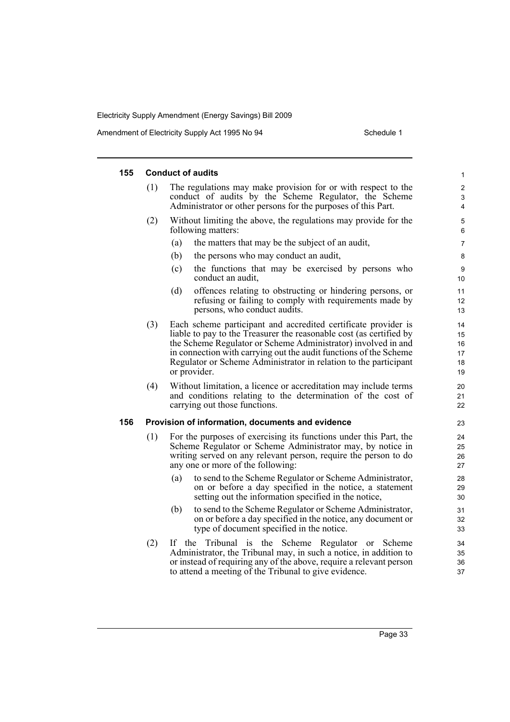| 155 | <b>Conduct of audits</b><br>1 |                                                                                                                                                                                                                                                                                                                                                                 |                                  |  |  |  |  |
|-----|-------------------------------|-----------------------------------------------------------------------------------------------------------------------------------------------------------------------------------------------------------------------------------------------------------------------------------------------------------------------------------------------------------------|----------------------------------|--|--|--|--|
|     | (1)                           | The regulations may make provision for or with respect to the<br>conduct of audits by the Scheme Regulator, the Scheme<br>Administrator or other persons for the purposes of this Part.                                                                                                                                                                         | $\overline{c}$<br>3<br>4         |  |  |  |  |
|     | (2)                           | Without limiting the above, the regulations may provide for the<br>following matters:                                                                                                                                                                                                                                                                           | 5<br>6                           |  |  |  |  |
|     |                               | the matters that may be the subject of an audit,<br>(a)                                                                                                                                                                                                                                                                                                         | 7                                |  |  |  |  |
|     |                               | (b)<br>the persons who may conduct an audit,                                                                                                                                                                                                                                                                                                                    | 8                                |  |  |  |  |
|     |                               | (c)<br>the functions that may be exercised by persons who<br>conduct an audit,                                                                                                                                                                                                                                                                                  | 9<br>10                          |  |  |  |  |
|     |                               | (d)<br>offences relating to obstructing or hindering persons, or<br>refusing or failing to comply with requirements made by<br>persons, who conduct audits.                                                                                                                                                                                                     | 11<br>12<br>13                   |  |  |  |  |
|     | (3)                           | Each scheme participant and accredited certificate provider is<br>liable to pay to the Treasurer the reasonable cost (as certified by<br>the Scheme Regulator or Scheme Administrator) involved in and<br>in connection with carrying out the audit functions of the Scheme<br>Regulator or Scheme Administrator in relation to the participant<br>or provider. | 14<br>15<br>16<br>17<br>18<br>19 |  |  |  |  |
|     | (4)                           | Without limitation, a licence or accreditation may include terms<br>and conditions relating to the determination of the cost of<br>carrying out those functions.                                                                                                                                                                                                | 20<br>21<br>22                   |  |  |  |  |
| 156 |                               | Provision of information, documents and evidence                                                                                                                                                                                                                                                                                                                | 23                               |  |  |  |  |
|     | (1)                           | For the purposes of exercising its functions under this Part, the<br>Scheme Regulator or Scheme Administrator may, by notice in<br>writing served on any relevant person, require the person to do<br>any one or more of the following:                                                                                                                         | 24<br>25<br>26<br>27             |  |  |  |  |
|     |                               | to send to the Scheme Regulator or Scheme Administrator,<br>(a)<br>on or before a day specified in the notice, a statement<br>setting out the information specified in the notice,                                                                                                                                                                              | 28<br>29<br>30                   |  |  |  |  |
|     |                               | to send to the Scheme Regulator or Scheme Administrator,<br>(b)<br>on or before a day specified in the notice, any document or<br>type of document specified in the notice.                                                                                                                                                                                     | 31<br>32<br>33                   |  |  |  |  |
|     | (2)                           | If the Tribunal is the Scheme Regulator or<br>Scheme<br>Administrator, the Tribunal may, in such a notice, in addition to<br>or instead of requiring any of the above, require a relevant person<br>to attend a meeting of the Tribunal to give evidence.                                                                                                       | 34<br>35<br>36<br>37             |  |  |  |  |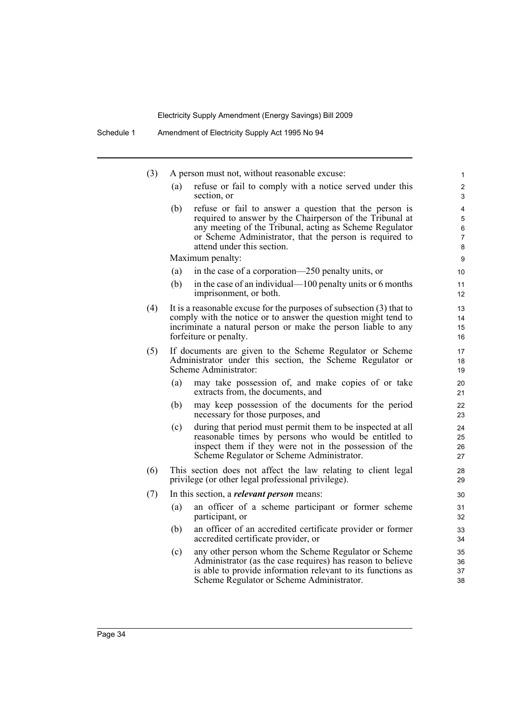| (3) |     | A person must not, without reasonable excuse:                                                                                                                                                                                                                          | $\mathbf{1}$                |
|-----|-----|------------------------------------------------------------------------------------------------------------------------------------------------------------------------------------------------------------------------------------------------------------------------|-----------------------------|
|     | (a) | refuse or fail to comply with a notice served under this<br>section, or                                                                                                                                                                                                | 2<br>3                      |
|     | (b) | refuse or fail to answer a question that the person is<br>required to answer by the Chairperson of the Tribunal at<br>any meeting of the Tribunal, acting as Scheme Regulator<br>or Scheme Administrator, that the person is required to<br>attend under this section. | 4<br>5<br>$\,6\,$<br>7<br>8 |
|     |     | Maximum penalty:                                                                                                                                                                                                                                                       | 9                           |
|     | (a) | in the case of a corporation—250 penalty units, or                                                                                                                                                                                                                     | 10                          |
|     | (b) | in the case of an individual—100 penalty units or 6 months<br>imprisonment, or both.                                                                                                                                                                                   | 11<br>12                    |
| (4) |     | It is a reasonable excuse for the purposes of subsection $(3)$ that to<br>comply with the notice or to answer the question might tend to<br>incriminate a natural person or make the person liable to any<br>forfeiture or penalty.                                    | 13<br>14<br>15<br>16        |
| (5) |     | If documents are given to the Scheme Regulator or Scheme<br>Administrator under this section, the Scheme Regulator or<br>Scheme Administrator:                                                                                                                         | 17<br>18<br>19              |
|     | (a) | may take possession of, and make copies of or take<br>extracts from, the documents, and                                                                                                                                                                                | 20<br>21                    |
|     | (b) | may keep possession of the documents for the period<br>necessary for those purposes, and                                                                                                                                                                               | 22<br>23                    |
|     | (c) | during that period must permit them to be inspected at all<br>reasonable times by persons who would be entitled to<br>inspect them if they were not in the possession of the<br>Scheme Regulator or Scheme Administrator.                                              | 24<br>25<br>26<br>27        |
| (6) |     | This section does not affect the law relating to client legal<br>privilege (or other legal professional privilege).                                                                                                                                                    | 28<br>29                    |
| (7) |     | In this section, a <i>relevant person</i> means:                                                                                                                                                                                                                       | 30                          |
|     | (a) | an officer of a scheme participant or former scheme<br>participant, or                                                                                                                                                                                                 | 31<br>32                    |
|     | (b) | an officer of an accredited certificate provider or former<br>accredited certificate provider, or                                                                                                                                                                      | 33<br>34                    |
|     | (c) | any other person whom the Scheme Regulator or Scheme<br>Administrator (as the case requires) has reason to believe<br>is able to provide information relevant to its functions as<br>Scheme Regulator or Scheme Administrator.                                         | 35<br>36<br>37<br>38        |
|     |     |                                                                                                                                                                                                                                                                        |                             |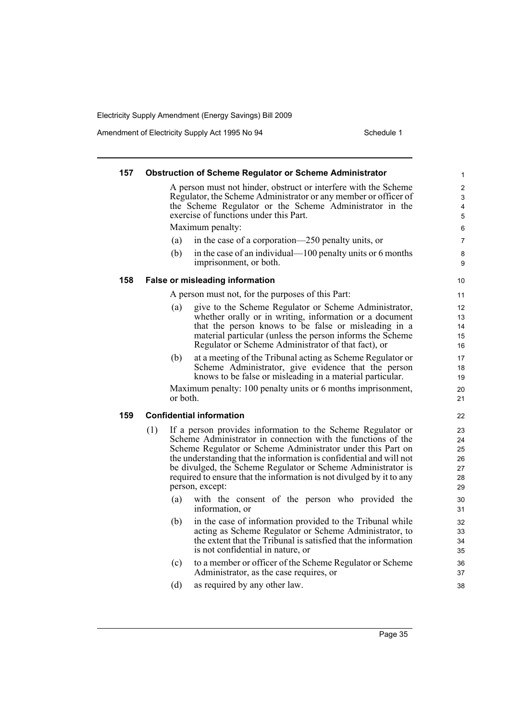| 157 |     |          | <b>Obstruction of Scheme Regulator or Scheme Administrator</b>                                                             | 1                            |
|-----|-----|----------|----------------------------------------------------------------------------------------------------------------------------|------------------------------|
|     |     |          | A person must not hinder, obstruct or interfere with the Scheme                                                            | 2                            |
|     |     |          | Regulator, the Scheme Administrator or any member or officer of<br>the Scheme Regulator or the Scheme Administrator in the | 3                            |
|     |     |          | exercise of functions under this Part.                                                                                     | $\overline{\mathbf{4}}$<br>5 |
|     |     |          | Maximum penalty:                                                                                                           | 6                            |
|     |     | (a)      | in the case of a corporation—250 penalty units, or                                                                         | $\overline{7}$               |
|     |     | (b)      | in the case of an individual—100 penalty units or 6 months<br>imprisonment, or both.                                       | 8<br>9                       |
| 158 |     |          | <b>False or misleading information</b>                                                                                     | 10                           |
|     |     |          | A person must not, for the purposes of this Part:                                                                          | 11                           |
|     |     | (a)      | give to the Scheme Regulator or Scheme Administrator,                                                                      | 12                           |
|     |     |          | whether orally or in writing, information or a document                                                                    | 13                           |
|     |     |          | that the person knows to be false or misleading in a                                                                       | 14                           |
|     |     |          | material particular (unless the person informs the Scheme                                                                  | 15                           |
|     |     |          | Regulator or Scheme Administrator of that fact), or                                                                        | 16                           |
|     |     | (b)      | at a meeting of the Tribunal acting as Scheme Regulator or                                                                 | 17                           |
|     |     |          | Scheme Administrator, give evidence that the person<br>knows to be false or misleading in a material particular.           | 18                           |
|     |     |          |                                                                                                                            | 19                           |
|     |     | or both. | Maximum penalty: 100 penalty units or 6 months imprisonment,                                                               | 20<br>21                     |
| 159 |     |          | <b>Confidential information</b>                                                                                            | 22                           |
|     | (1) |          | If a person provides information to the Scheme Regulator or                                                                | 23                           |
|     |     |          | Scheme Administrator in connection with the functions of the                                                               | 24                           |
|     |     |          | Scheme Regulator or Scheme Administrator under this Part on                                                                | 25                           |
|     |     |          | the understanding that the information is confidential and will not                                                        | 26                           |
|     |     |          | be divulged, the Scheme Regulator or Scheme Administrator is                                                               | 27                           |
|     |     |          | required to ensure that the information is not divulged by it to any                                                       | 28                           |
|     |     |          | person, except:                                                                                                            | 29                           |
|     |     | (a)      | with the consent of the person who provided the<br>information, or                                                         | 30<br>31                     |
|     |     | (b)      | in the case of information provided to the Tribunal while                                                                  | 32                           |
|     |     |          | acting as Scheme Regulator or Scheme Administrator, to                                                                     | 33                           |
|     |     |          | the extent that the Tribunal is satisfied that the information                                                             | 34                           |
|     |     |          | is not confidential in nature, or                                                                                          | 35                           |
|     |     | (c)      | to a member or officer of the Scheme Regulator or Scheme                                                                   | 36                           |
|     |     |          | Administrator, as the case requires, or                                                                                    | 37                           |
|     |     | (d)      | as required by any other law.                                                                                              | 38                           |
|     |     |          |                                                                                                                            |                              |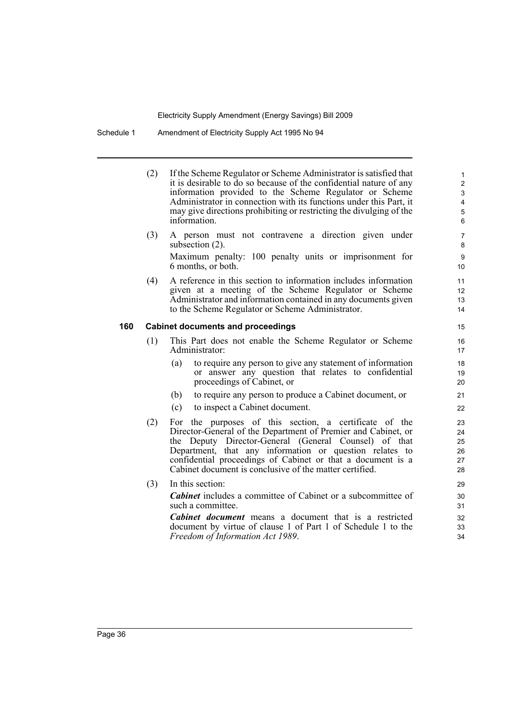#### Schedule 1 Amendment of Electricity Supply Act 1995 No 94

(2) If the Scheme Regulator or Scheme Administrator is satisfied that it is desirable to do so because of the confidential nature of any information provided to the Scheme Regulator or Scheme Administrator in connection with its functions under this Part, it may give directions prohibiting or restricting the divulging of the information.

- (3) A person must not contravene a direction given under subsection (2). Maximum penalty: 100 penalty units or imprisonment for 6 months, or both.
- (4) A reference in this section to information includes information given at a meeting of the Scheme Regulator or Scheme Administrator and information contained in any documents given to the Scheme Regulator or Scheme Administrator.

#### **160 Cabinet documents and proceedings**

- (1) This Part does not enable the Scheme Regulator or Scheme Administrator:
	- (a) to require any person to give any statement of information or answer any question that relates to confidential proceedings of Cabinet, or
	- (b) to require any person to produce a Cabinet document, or
	- (c) to inspect a Cabinet document.
- (2) For the purposes of this section, a certificate of the Director-General of the Department of Premier and Cabinet, or the Deputy Director-General (General Counsel) of that Department, that any information or question relates to confidential proceedings of Cabinet or that a document is a Cabinet document is conclusive of the matter certified.
- (3) In this section:

*Cabinet* includes a committee of Cabinet or a subcommittee of such a committee.

*Cabinet document* means a document that is a restricted document by virtue of clause 1 of Part 1 of Schedule 1 to the *Freedom of Information Act 1989*.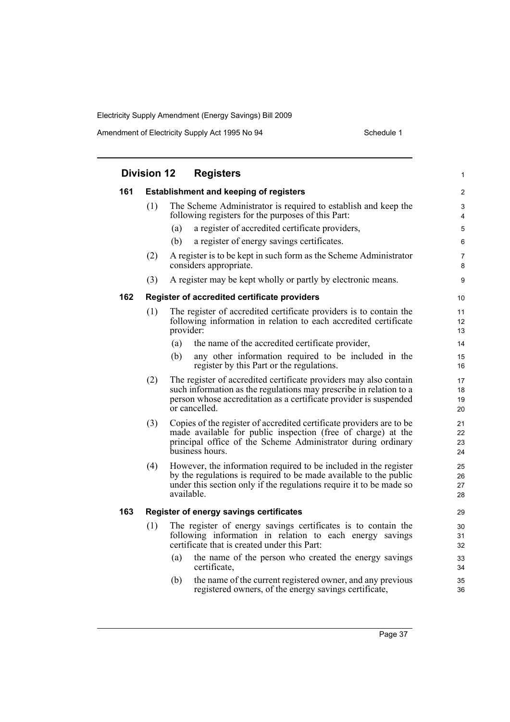|     | <b>Division 12</b>                            | <b>Registers</b>                                                                                                                                                                                                              | 1                    |  |  |
|-----|-----------------------------------------------|-------------------------------------------------------------------------------------------------------------------------------------------------------------------------------------------------------------------------------|----------------------|--|--|
| 161 | <b>Establishment and keeping of registers</b> |                                                                                                                                                                                                                               |                      |  |  |
|     | (1)                                           | The Scheme Administrator is required to establish and keep the<br>following registers for the purposes of this Part:                                                                                                          | 3<br>4               |  |  |
|     |                                               | (a)<br>a register of accredited certificate providers,                                                                                                                                                                        | 5                    |  |  |
|     |                                               | (b)<br>a register of energy savings certificates.                                                                                                                                                                             | 6                    |  |  |
|     | (2)                                           | A register is to be kept in such form as the Scheme Administrator<br>considers appropriate.                                                                                                                                   | 7<br>8               |  |  |
|     | (3)                                           | A register may be kept wholly or partly by electronic means.                                                                                                                                                                  | 9                    |  |  |
| 162 |                                               | Register of accredited certificate providers                                                                                                                                                                                  | 10                   |  |  |
|     | (1)                                           | The register of accredited certificate providers is to contain the<br>following information in relation to each accredited certificate<br>provider:                                                                           | 11<br>12<br>13       |  |  |
|     |                                               | (a)<br>the name of the accredited certificate provider,                                                                                                                                                                       | 14                   |  |  |
|     |                                               | (b)<br>any other information required to be included in the<br>register by this Part or the regulations.                                                                                                                      | 15<br>16             |  |  |
|     | (2)                                           | The register of accredited certificate providers may also contain<br>such information as the regulations may prescribe in relation to a<br>person whose accreditation as a certificate provider is suspended<br>or cancelled. | 17<br>18<br>19<br>20 |  |  |
|     | (3)                                           | Copies of the register of accredited certificate providers are to be<br>made available for public inspection (free of charge) at the<br>principal office of the Scheme Administrator during ordinary<br>business hours.       | 21<br>22<br>23<br>24 |  |  |
|     | (4)                                           | However, the information required to be included in the register<br>by the regulations is required to be made available to the public<br>under this section only if the regulations require it to be made so<br>available.    | 25<br>26<br>27<br>28 |  |  |
| 163 |                                               | Register of energy savings certificates                                                                                                                                                                                       | 29                   |  |  |
|     | (1)                                           | The register of energy savings certificates is to contain the<br>following information in relation to each energy savings<br>certificate that is created under this Part:                                                     | 30<br>31<br>32       |  |  |
|     |                                               | the name of the person who created the energy savings<br>(a)<br>certificate,                                                                                                                                                  | 33<br>34             |  |  |
|     |                                               | the name of the current registered owner, and any previous<br>(b)<br>registered owners, of the energy savings certificate,                                                                                                    | 35<br>36             |  |  |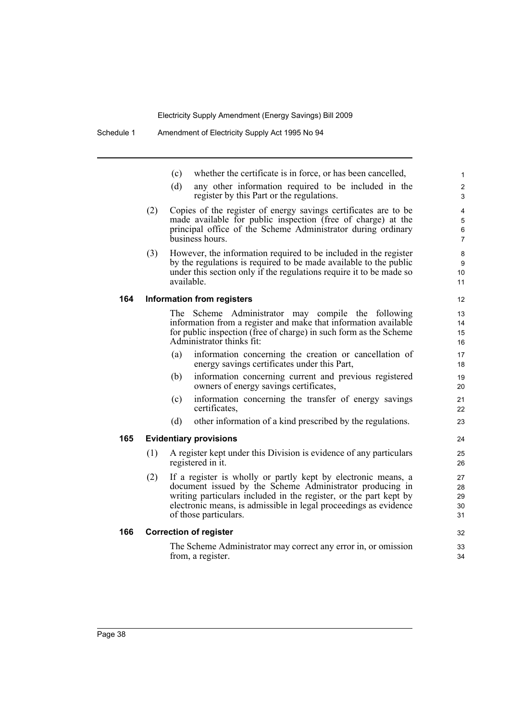- (c) whether the certificate is in force, or has been cancelled,
- (d) any other information required to be included in the register by this Part or the regulations.
- (2) Copies of the register of energy savings certificates are to be made available for public inspection (free of charge) at the principal office of the Scheme Administrator during ordinary business hours.
- (3) However, the information required to be included in the register by the regulations is required to be made available to the public under this section only if the regulations require it to be made so available.

#### **164 Information from registers**

The Scheme Administrator may compile the following information from a register and make that information available for public inspection (free of charge) in such form as the Scheme Administrator thinks fit:

- (a) information concerning the creation or cancellation of energy savings certificates under this Part,
- (b) information concerning current and previous registered owners of energy savings certificates,
- (c) information concerning the transfer of energy savings certificates,
- (d) other information of a kind prescribed by the regulations.

#### **165 Evidentiary provisions**

- (1) A register kept under this Division is evidence of any particulars registered in it.
- (2) If a register is wholly or partly kept by electronic means, a document issued by the Scheme Administrator producing in writing particulars included in the register, or the part kept by electronic means, is admissible in legal proceedings as evidence of those particulars.

#### **166 Correction of register**

The Scheme Administrator may correct any error in, or omission from, a register.

11 12

23  $24$ 

25 26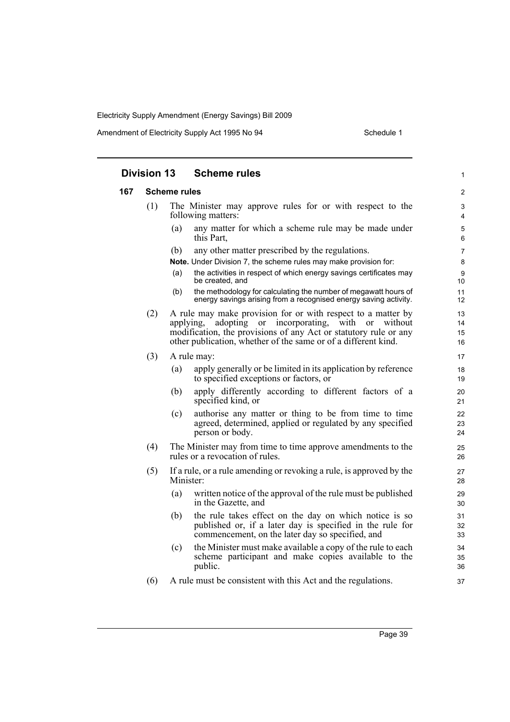|  | <b>Division 13</b> |     |                     | <b>Scheme rules</b>                                                                                                                                                                                                                                       | 1                    |
|--|--------------------|-----|---------------------|-----------------------------------------------------------------------------------------------------------------------------------------------------------------------------------------------------------------------------------------------------------|----------------------|
|  | 167                |     | <b>Scheme rules</b> |                                                                                                                                                                                                                                                           | $\overline{c}$       |
|  |                    | (1) |                     | The Minister may approve rules for or with respect to the<br>following matters:                                                                                                                                                                           | $\mathbf{3}$<br>4    |
|  |                    |     | (a)                 | any matter for which a scheme rule may be made under<br>this Part,                                                                                                                                                                                        | 5<br>6               |
|  |                    |     | (b)                 | any other matter prescribed by the regulations.                                                                                                                                                                                                           | $\overline{7}$       |
|  |                    |     |                     | Note. Under Division 7, the scheme rules may make provision for:                                                                                                                                                                                          | 8                    |
|  |                    |     | (a)                 | the activities in respect of which energy savings certificates may<br>be created, and                                                                                                                                                                     | 9<br>10              |
|  |                    |     | (b)                 | the methodology for calculating the number of megawatt hours of<br>energy savings arising from a recognised energy saving activity.                                                                                                                       | 11<br>12             |
|  |                    | (2) | applying,           | A rule may make provision for or with respect to a matter by<br>incorporating,<br>adopting or<br>with<br>or without<br>modification, the provisions of any Act or statutory rule or any<br>other publication, whether of the same or of a different kind. | 13<br>14<br>15<br>16 |
|  |                    | (3) |                     | A rule may:                                                                                                                                                                                                                                               | 17                   |
|  |                    |     | (a)                 | apply generally or be limited in its application by reference<br>to specified exceptions or factors, or                                                                                                                                                   | 18<br>19             |
|  |                    |     | (b)                 | apply differently according to different factors of a<br>specified kind, or                                                                                                                                                                               | 20<br>21             |
|  |                    |     | (c)                 | authorise any matter or thing to be from time to time<br>agreed, determined, applied or regulated by any specified<br>person or body.                                                                                                                     | 22<br>23<br>24       |
|  |                    | (4) |                     | The Minister may from time to time approve amendments to the<br>rules or a revocation of rules.                                                                                                                                                           | 25<br>26             |
|  |                    | (5) | Minister:           | If a rule, or a rule amending or revoking a rule, is approved by the                                                                                                                                                                                      | 27<br>28             |
|  |                    |     | (a)                 | written notice of the approval of the rule must be published<br>in the Gazette, and                                                                                                                                                                       | 29<br>30             |
|  |                    |     | (b)                 | the rule takes effect on the day on which notice is so<br>published or, if a later day is specified in the rule for<br>commencement, on the later day so specified, and                                                                                   | 31<br>32<br>33       |
|  |                    |     | (c)                 | the Minister must make available a copy of the rule to each<br>scheme participant and make copies available to the<br>public.                                                                                                                             | 34<br>35<br>36       |
|  |                    | (6) |                     | A rule must be consistent with this Act and the regulations.                                                                                                                                                                                              | 37                   |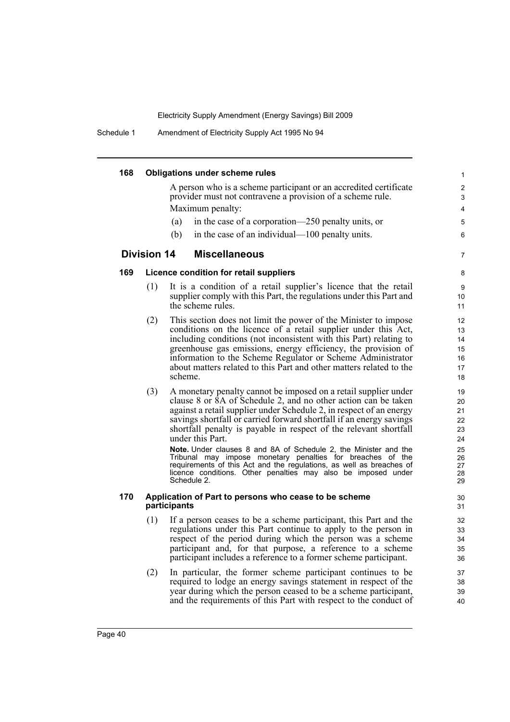Schedule 1 Amendment of Electricity Supply Act 1995 No 94

| 168 |                    | <b>Obligations under scheme rules</b>                                                                                                      | 1        |
|-----|--------------------|--------------------------------------------------------------------------------------------------------------------------------------------|----------|
|     |                    | A person who is a scheme participant or an accredited certificate                                                                          | 2        |
|     |                    | provider must not contravene a provision of a scheme rule.                                                                                 | 3        |
|     |                    | Maximum penalty:                                                                                                                           | 4        |
|     |                    | in the case of a corporation—250 penalty units, or<br>(a)                                                                                  | 5        |
|     |                    | in the case of an individual—100 penalty units.<br>(b)                                                                                     | 6        |
|     | <b>Division 14</b> | <b>Miscellaneous</b>                                                                                                                       | 7        |
| 169 |                    | Licence condition for retail suppliers                                                                                                     | 8        |
|     | (1)                | It is a condition of a retail supplier's licence that the retail                                                                           | 9        |
|     |                    | supplier comply with this Part, the regulations under this Part and<br>the scheme rules.                                                   | 10<br>11 |
|     | (2)                | This section does not limit the power of the Minister to impose                                                                            | 12       |
|     |                    | conditions on the licence of a retail supplier under this Act,                                                                             | 13       |
|     |                    | including conditions (not inconsistent with this Part) relating to<br>greenhouse gas emissions, energy efficiency, the provision of        | 14       |
|     |                    | information to the Scheme Regulator or Scheme Administrator                                                                                | 15<br>16 |
|     |                    | about matters related to this Part and other matters related to the                                                                        | 17       |
|     |                    | scheme.                                                                                                                                    | 18       |
|     | (3)                | A monetary penalty cannot be imposed on a retail supplier under                                                                            | 19       |
|     |                    | clause 8 or 8A of Schedule 2, and no other action can be taken                                                                             | 20       |
|     |                    | against a retail supplier under Schedule 2, in respect of an energy<br>savings shortfall or carried forward shortfall if an energy savings | 21<br>22 |
|     |                    | shortfall penalty is payable in respect of the relevant shortfall                                                                          | 23       |
|     |                    | under this Part.                                                                                                                           | 24       |
|     |                    | Note. Under clauses 8 and 8A of Schedule 2, the Minister and the                                                                           | 25       |
|     |                    | Tribunal may impose monetary penalties for breaches of the<br>requirements of this Act and the regulations, as well as breaches of         | 26<br>27 |
|     |                    | licence conditions. Other penalties may also be imposed under                                                                              | 28       |
|     |                    | Schedule 2.                                                                                                                                | 29       |
| 170 |                    | Application of Part to persons who cease to be scheme<br>participants                                                                      | 30<br>31 |
|     | (1)                | If a person ceases to be a scheme participant, this Part and the                                                                           | 32       |
|     |                    | regulations under this Part continue to apply to the person in                                                                             | 33       |
|     |                    | respect of the period during which the person was a scheme                                                                                 | 34       |
|     |                    | participant and, for that purpose, a reference to a scheme<br>participant includes a reference to a former scheme participant.             | 35<br>36 |
|     |                    |                                                                                                                                            |          |
|     | (2)                | In particular, the former scheme participant continues to be<br>required to lodge an energy savings statement in respect of the            | 37<br>38 |
|     |                    | year during which the person ceased to be a scheme participant,                                                                            | 39       |
|     |                    | and the requirements of this Part with respect to the conduct of                                                                           | 40       |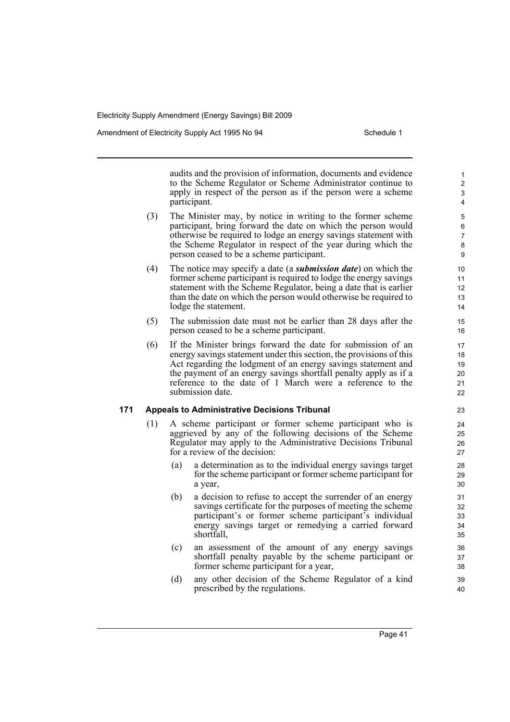Amendment of Electricity Supply Act 1995 No 94 Schedule 1

audits and the provision of information, documents and evidence to the Scheme Regulator or Scheme Administrator continue to apply in respect of the person as if the person were a scheme participant.

- (3) The Minister may, by notice in writing to the former scheme participant, bring forward the date on which the person would otherwise be required to lodge an energy savings statement with the Scheme Regulator in respect of the year during which the person ceased to be a scheme participant.
- (4) The notice may specify a date (a *submission date*) on which the former scheme participant is required to lodge the energy savings statement with the Scheme Regulator, being a date that is earlier than the date on which the person would otherwise be required to lodge the statement.
- (5) The submission date must not be earlier than 28 days after the person ceased to be a scheme participant.
- (6) If the Minister brings forward the date for submission of an energy savings statement under this section, the provisions of this Act regarding the lodgment of an energy savings statement and the payment of an energy savings shortfall penalty apply as if a reference to the date of 1 March were a reference to the submission date.

#### **171 Appeals to Administrative Decisions Tribunal**

- (1) A scheme participant or former scheme participant who is aggrieved by any of the following decisions of the Scheme Regulator may apply to the Administrative Decisions Tribunal for a review of the decision:
	- (a) a determination as to the individual energy savings target for the scheme participant or former scheme participant for a year,
	- (b) a decision to refuse to accept the surrender of an energy savings certificate for the purposes of meeting the scheme participant's or former scheme participant's individual energy savings target or remedying a carried forward shortfall,
	- (c) an assessment of the amount of any energy savings shortfall penalty payable by the scheme participant or former scheme participant for a year,
	- (d) any other decision of the Scheme Regulator of a kind prescribed by the regulations.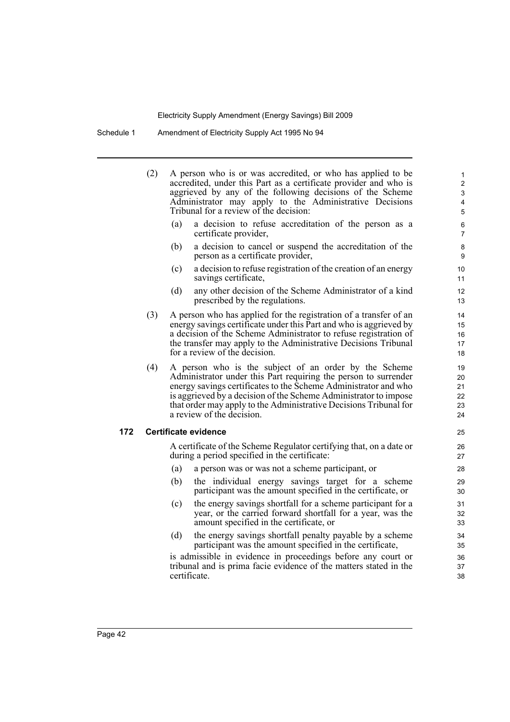Schedule 1 Amendment of Electricity Supply Act 1995 No 94

(2) A person who is or was accredited, or who has applied to be accredited, under this Part as a certificate provider and who is aggrieved by any of the following decisions of the Scheme Administrator may apply to the Administrative Decisions Tribunal for a review of the decision: (a) a decision to refuse accreditation of the person as a certificate provider, (b) a decision to cancel or suspend the accreditation of the person as a certificate provider, (c) a decision to refuse registration of the creation of an energy savings certificate, (d) any other decision of the Scheme Administrator of a kind prescribed by the regulations. (3) A person who has applied for the registration of a transfer of an energy savings certificate under this Part and who is aggrieved by a decision of the Scheme Administrator to refuse registration of the transfer may apply to the Administrative Decisions Tribunal for a review of the decision. (4) A person who is the subject of an order by the Scheme Administrator under this Part requiring the person to surrender energy savings certificates to the Scheme Administrator and who is aggrieved by a decision of the Scheme Administrator to impose that order may apply to the Administrative Decisions Tribunal for a review of the decision. **172 Certificate evidence** A certificate of the Scheme Regulator certifying that, on a date or during a period specified in the certificate: (a) a person was or was not a scheme participant, or (b) the individual energy savings target for a scheme participant was the amount specified in the certificate, or (c) the energy savings shortfall for a scheme participant for a year, or the carried forward shortfall for a year, was the amount specified in the certificate, or 10 11 12 13 14 15 16 17 18 19 20 21 22 23 24 25 26 27 28 29 30 31 32 33

(d) the energy savings shortfall penalty payable by a scheme participant was the amount specified in the certificate,

is admissible in evidence in proceedings before any court or tribunal and is prima facie evidence of the matters stated in the certificate.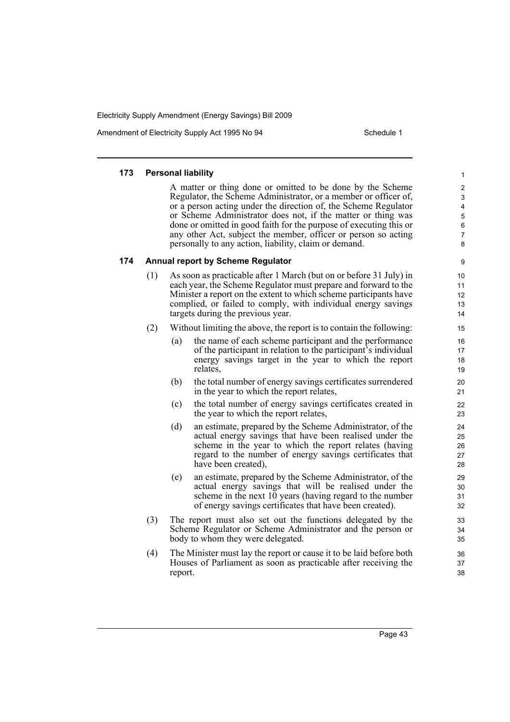Amendment of Electricity Supply Act 1995 No 94 Schedule 1

#### **173 Personal liability**

A matter or thing done or omitted to be done by the Scheme Regulator, the Scheme Administrator, or a member or officer of, or a person acting under the direction of, the Scheme Regulator or Scheme Administrator does not, if the matter or thing was done or omitted in good faith for the purpose of executing this or any other Act, subject the member, officer or person so acting personally to any action, liability, claim or demand.

#### **174 Annual report by Scheme Regulator**

- (1) As soon as practicable after 1 March (but on or before 31 July) in each year, the Scheme Regulator must prepare and forward to the Minister a report on the extent to which scheme participants have complied, or failed to comply, with individual energy savings targets during the previous year.
- (2) Without limiting the above, the report is to contain the following:
	- (a) the name of each scheme participant and the performance of the participant in relation to the participant's individual energy savings target in the year to which the report relates,
	- (b) the total number of energy savings certificates surrendered in the year to which the report relates,
	- (c) the total number of energy savings certificates created in the year to which the report relates,
	- (d) an estimate, prepared by the Scheme Administrator, of the actual energy savings that have been realised under the scheme in the year to which the report relates (having regard to the number of energy savings certificates that have been created),
	- (e) an estimate, prepared by the Scheme Administrator, of the actual energy savings that will be realised under the scheme in the next 10 years (having regard to the number of energy savings certificates that have been created).
- (3) The report must also set out the functions delegated by the Scheme Regulator or Scheme Administrator and the person or body to whom they were delegated.
- (4) The Minister must lay the report or cause it to be laid before both Houses of Parliament as soon as practicable after receiving the report.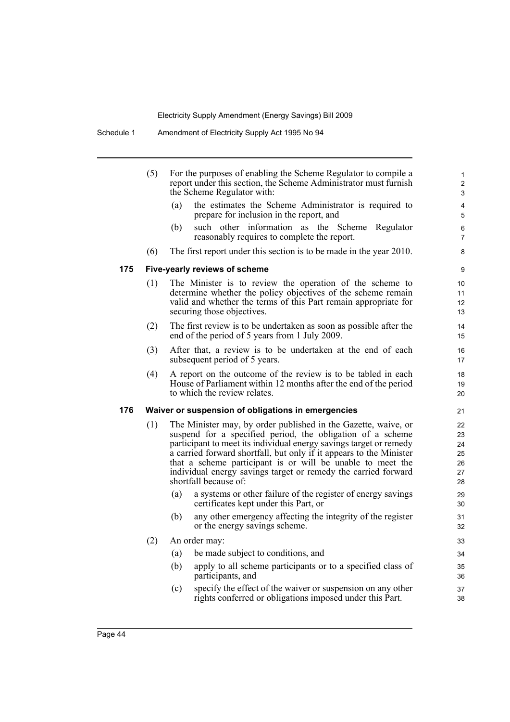|     | For the purposes of enabling the Scheme Regulator to compile a<br>report under this section, the Scheme Administrator must furnish<br>the Scheme Regulator with: |                                                                                                                                                                                                                                                                                                                                                                                                                                    |
|-----|------------------------------------------------------------------------------------------------------------------------------------------------------------------|------------------------------------------------------------------------------------------------------------------------------------------------------------------------------------------------------------------------------------------------------------------------------------------------------------------------------------------------------------------------------------------------------------------------------------|
|     |                                                                                                                                                                  | (a)<br>the estimates the Scheme Administrator is required to<br>prepare for inclusion in the report, and                                                                                                                                                                                                                                                                                                                           |
|     |                                                                                                                                                                  | (b)<br>such other information as the Scheme Regulator<br>reasonably requires to complete the report.                                                                                                                                                                                                                                                                                                                               |
|     | (6)                                                                                                                                                              | The first report under this section is to be made in the year 2010.                                                                                                                                                                                                                                                                                                                                                                |
| 175 | Five-yearly reviews of scheme                                                                                                                                    |                                                                                                                                                                                                                                                                                                                                                                                                                                    |
|     | (1)                                                                                                                                                              | The Minister is to review the operation of the scheme to<br>determine whether the policy objectives of the scheme remain<br>valid and whether the terms of this Part remain appropriate for<br>securing those objectives.                                                                                                                                                                                                          |
|     | (2)                                                                                                                                                              | The first review is to be undertaken as soon as possible after the<br>end of the period of 5 years from 1 July 2009.                                                                                                                                                                                                                                                                                                               |
|     | (3)                                                                                                                                                              | After that, a review is to be undertaken at the end of each<br>subsequent period of 5 years.                                                                                                                                                                                                                                                                                                                                       |
|     | (4)                                                                                                                                                              | A report on the outcome of the review is to be tabled in each<br>House of Parliament within 12 months after the end of the period<br>to which the review relates.                                                                                                                                                                                                                                                                  |
| 176 |                                                                                                                                                                  | Waiver or suspension of obligations in emergencies                                                                                                                                                                                                                                                                                                                                                                                 |
|     | (1)                                                                                                                                                              | The Minister may, by order published in the Gazette, waive, or<br>suspend for a specified period, the obligation of a scheme<br>participant to meet its individual energy savings target or remedy<br>a carried forward shortfall, but only if it appears to the Minister<br>that a scheme participant is or will be unable to meet the<br>individual energy savings target or remedy the carried forward<br>shortfall because of: |
|     |                                                                                                                                                                  | a systems or other failure of the register of energy savings<br>(a)<br>certificates kept under this Part, or                                                                                                                                                                                                                                                                                                                       |
|     |                                                                                                                                                                  | (b)<br>any other emergency affecting the integrity of the register<br>or the energy savings scheme.                                                                                                                                                                                                                                                                                                                                |
|     | (2)                                                                                                                                                              | An order may:                                                                                                                                                                                                                                                                                                                                                                                                                      |
|     |                                                                                                                                                                  | be made subject to conditions, and<br>(a)                                                                                                                                                                                                                                                                                                                                                                                          |
|     |                                                                                                                                                                  | (b)<br>apply to all scheme participants or to a specified class of<br>participants, and                                                                                                                                                                                                                                                                                                                                            |
|     |                                                                                                                                                                  | specify the effect of the waiver or suspension on any other<br>(c)<br>rights conferred or obligations imposed under this Part.                                                                                                                                                                                                                                                                                                     |
|     |                                                                                                                                                                  |                                                                                                                                                                                                                                                                                                                                                                                                                                    |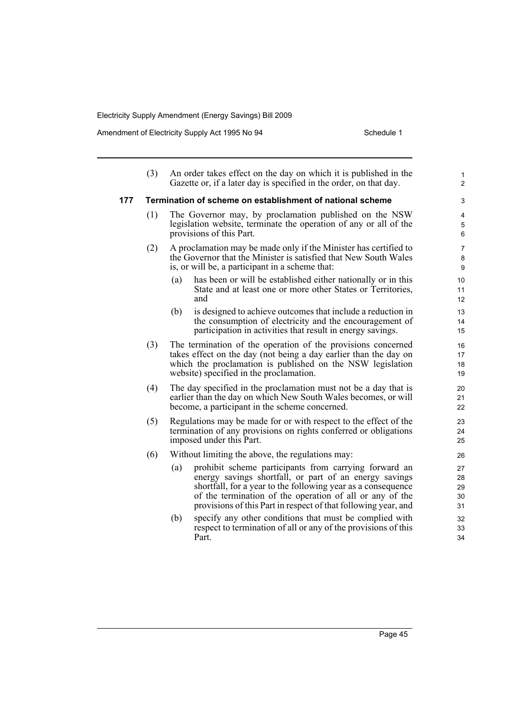Amendment of Electricity Supply Act 1995 No 94 Schedule 1

|     | (3) | An order takes effect on the day on which it is published in the<br>Gazette or, if a later day is specified in the order, on that day.                                                                                                                                                                               | $\mathbf{1}$<br>$\overline{c}$ |
|-----|-----|----------------------------------------------------------------------------------------------------------------------------------------------------------------------------------------------------------------------------------------------------------------------------------------------------------------------|--------------------------------|
| 177 |     | Termination of scheme on establishment of national scheme                                                                                                                                                                                                                                                            | 3                              |
|     | (1) | The Governor may, by proclamation published on the NSW<br>legislation website, terminate the operation of any or all of the<br>provisions of this Part.                                                                                                                                                              | 4<br>5<br>6                    |
|     | (2) | A proclamation may be made only if the Minister has certified to<br>the Governor that the Minister is satisfied that New South Wales<br>is, or will be, a participant in a scheme that:                                                                                                                              | 7<br>8<br>9                    |
|     |     | has been or will be established either nationally or in this<br>(a)<br>State and at least one or more other States or Territories,<br>and                                                                                                                                                                            | 10<br>11<br>12                 |
|     |     | (b)<br>is designed to achieve outcomes that include a reduction in<br>the consumption of electricity and the encouragement of<br>participation in activities that result in energy savings.                                                                                                                          | 13<br>14<br>15                 |
|     | (3) | The termination of the operation of the provisions concerned<br>takes effect on the day (not being a day earlier than the day on<br>which the proclamation is published on the NSW legislation<br>website) specified in the proclamation.                                                                            | 16<br>17<br>18<br>19           |
|     | (4) | The day specified in the proclamation must not be a day that is<br>earlier than the day on which New South Wales becomes, or will<br>become, a participant in the scheme concerned.                                                                                                                                  | 20<br>21<br>22                 |
|     | (5) | Regulations may be made for or with respect to the effect of the<br>termination of any provisions on rights conferred or obligations<br>imposed under this Part.                                                                                                                                                     | 23<br>24<br>25                 |
|     | (6) | Without limiting the above, the regulations may:                                                                                                                                                                                                                                                                     | 26                             |
|     |     | prohibit scheme participants from carrying forward an<br>(a)<br>energy savings shortfall, or part of an energy savings<br>shortfall, for a year to the following year as a consequence<br>of the termination of the operation of all or any of the<br>provisions of this Part in respect of that following year, and | 27<br>28<br>29<br>30<br>31     |
|     |     | specify any other conditions that must be complied with<br>(b)<br>respect to termination of all or any of the provisions of this<br>Part.                                                                                                                                                                            | 32<br>33<br>34                 |

Page 45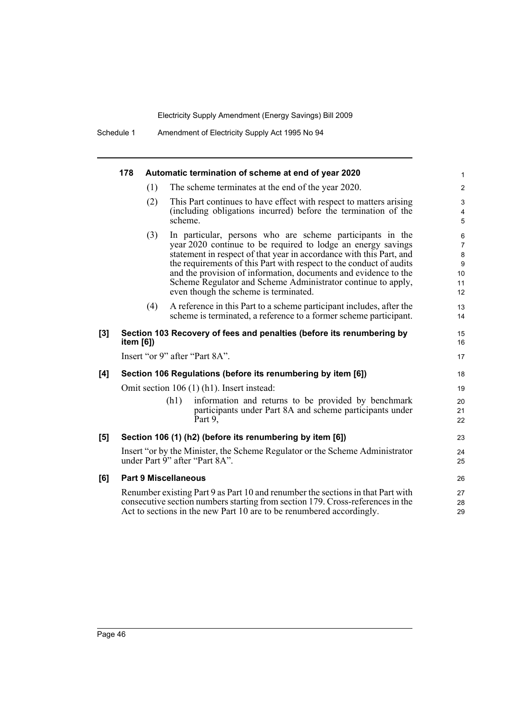|     | 178                         |      | Automatic termination of scheme at end of year 2020                                                                                                                                                                                                                                                                                                                                                                                                 | $\mathbf{1}$                                                         |
|-----|-----------------------------|------|-----------------------------------------------------------------------------------------------------------------------------------------------------------------------------------------------------------------------------------------------------------------------------------------------------------------------------------------------------------------------------------------------------------------------------------------------------|----------------------------------------------------------------------|
|     | (1)                         |      | The scheme terminates at the end of the year 2020.                                                                                                                                                                                                                                                                                                                                                                                                  | $\overline{2}$                                                       |
|     | (2)                         |      | This Part continues to have effect with respect to matters arising<br>(including obligations incurred) before the termination of the<br>scheme.                                                                                                                                                                                                                                                                                                     | 3<br>$\overline{4}$<br>5                                             |
|     | (3)                         |      | In particular, persons who are scheme participants in the<br>year 2020 continue to be required to lodge an energy savings<br>statement in respect of that year in accordance with this Part, and<br>the requirements of this Part with respect to the conduct of audits<br>and the provision of information, documents and evidence to the<br>Scheme Regulator and Scheme Administrator continue to apply,<br>even though the scheme is terminated. | 6<br>$\overline{7}$<br>$\bf 8$<br>$\boldsymbol{9}$<br>10<br>11<br>12 |
|     | (4)                         |      | A reference in this Part to a scheme participant includes, after the<br>scheme is terminated, a reference to a former scheme participant.                                                                                                                                                                                                                                                                                                           | 13<br>14                                                             |
| [3] | item [6])                   |      | Section 103 Recovery of fees and penalties (before its renumbering by                                                                                                                                                                                                                                                                                                                                                                               | 15<br>16                                                             |
|     |                             |      | Insert "or 9" after "Part 8A".                                                                                                                                                                                                                                                                                                                                                                                                                      | 17                                                                   |
| [4] |                             |      | Section 106 Regulations (before its renumbering by item [6])                                                                                                                                                                                                                                                                                                                                                                                        | 18                                                                   |
|     |                             |      | Omit section 106 (1) (h1). Insert instead:                                                                                                                                                                                                                                                                                                                                                                                                          | 19                                                                   |
|     |                             | (h1) | information and returns to be provided by benchmark<br>participants under Part 8A and scheme participants under<br>Part 9,                                                                                                                                                                                                                                                                                                                          | 20<br>21<br>22                                                       |
| [5] |                             |      | Section 106 (1) (h2) (before its renumbering by item [6])                                                                                                                                                                                                                                                                                                                                                                                           | 23                                                                   |
|     |                             |      | Insert "or by the Minister, the Scheme Regulator or the Scheme Administrator<br>under Part 9" after "Part 8A".                                                                                                                                                                                                                                                                                                                                      | 24<br>25                                                             |
| [6] | <b>Part 9 Miscellaneous</b> |      |                                                                                                                                                                                                                                                                                                                                                                                                                                                     | 26                                                                   |
|     |                             |      | Renumber existing Part 9 as Part 10 and renumber the sections in that Part with<br>consecutive section numbers starting from section 179. Cross-references in the<br>Act to sections in the new Part 10 are to be renumbered accordingly.                                                                                                                                                                                                           | 27<br>28<br>29                                                       |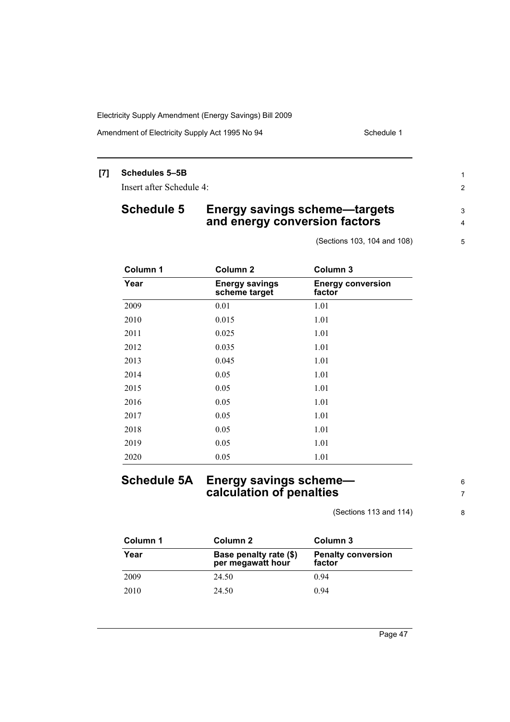Amendment of Electricity Supply Act 1995 No 94 Schedule 1

# **[7] Schedules 5–5B**

Insert after Schedule 4:

# **Schedule 5 Energy savings scheme—targets and energy conversion factors**

(Sections 103, 104 and 108)

| Column 1 | Column <sub>2</sub>                    | Column 3                           |
|----------|----------------------------------------|------------------------------------|
| Year     | <b>Energy savings</b><br>scheme target | <b>Energy conversion</b><br>factor |
| 2009     | 0.01                                   | 1.01                               |
| 2010     | 0.015                                  | 1.01                               |
| 2011     | 0.025                                  | 1.01                               |
| 2012     | 0.035                                  | 1.01                               |
| 2013     | 0.045                                  | 1.01                               |
| 2014     | 0.05                                   | 1.01                               |
| 2015     | 0.05                                   | 1.01                               |
| 2016     | 0.05                                   | 1.01                               |
| 2017     | 0.05                                   | 1.01                               |
| 2018     | 0.05                                   | 1.01                               |
| 2019     | 0.05                                   | 1.01                               |
| 2020     | 0.05                                   | 1.01                               |

# **Schedule 5A Energy savings scheme calculation of penalties**

(Sections 113 and 114)

6 7

1 2

3 4

5

8

| Column 1 | Column 2                                    | Column 3                            |
|----------|---------------------------------------------|-------------------------------------|
| Year     | Base penalty rate (\$)<br>per megawatt hour | <b>Penalty conversion</b><br>factor |
| 2009     | 24.50                                       | 0.94                                |
| 2010     | 24.50                                       | 0.94                                |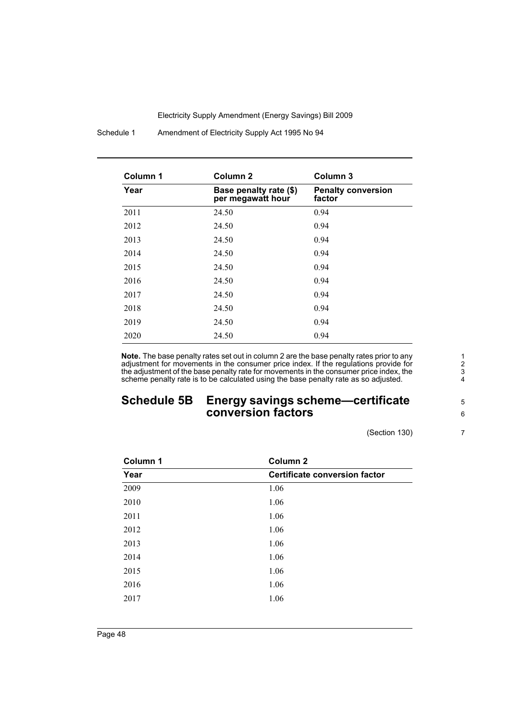Schedule 1 Amendment of Electricity Supply Act 1995 No 94

| Column 1 | Column <sub>2</sub>                         | Column <sub>3</sub>                 |
|----------|---------------------------------------------|-------------------------------------|
| Year     | Base penalty rate (\$)<br>per megawatt hour | <b>Penalty conversion</b><br>factor |
| 2011     | 24.50                                       | 0.94                                |
| 2012     | 24.50                                       | 0.94                                |
| 2013     | 24.50                                       | 0.94                                |
| 2014     | 24.50                                       | 0.94                                |
| 2015     | 24.50                                       | 0.94                                |
| 2016     | 24.50                                       | 0.94                                |
| 2017     | 24.50                                       | 0.94                                |
| 2018     | 24.50                                       | 0.94                                |
| 2019     | 24.50                                       | 0.94                                |
| 2020     | 24.50                                       | 0.94                                |

**Note.** The base penalty rates set out in column 2 are the base penalty rates prior to any adjustment for movements in the consumer price index. If the regulations provide for the adjustment of the base penalty rate for movements in the consumer price index, the scheme penalty rate is to be calculated using the base penalty rate as so adjusted.

# **Schedule 5B Energy savings scheme—certificate conversion factors**

(Section 130)

| Column 1 | <b>Column 2</b>                      |
|----------|--------------------------------------|
| Year     | <b>Certificate conversion factor</b> |
| 2009     | 1.06                                 |
| 2010     | 1.06                                 |
| 2011     | 1.06                                 |
| 2012     | 1.06                                 |
| 2013     | 1.06                                 |
| 2014     | 1.06                                 |
| 2015     | 1.06                                 |
| 2016     | 1.06                                 |
| 2017     | 1.06                                 |
|          |                                      |

1

6

7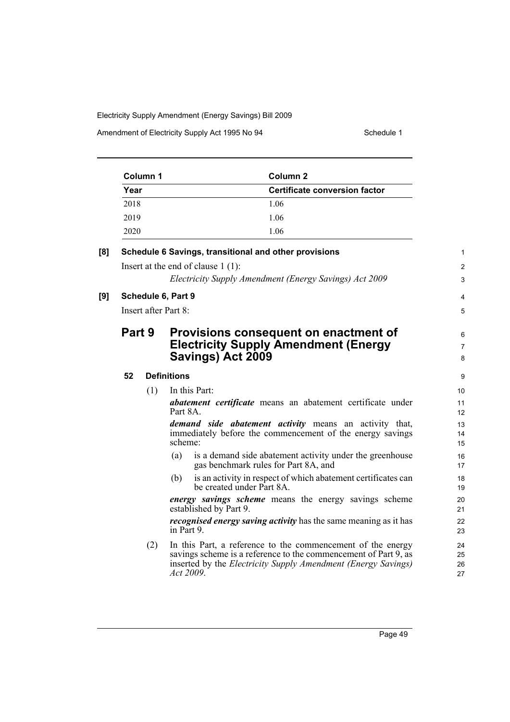| Column 1 | Column 2                      |
|----------|-------------------------------|
| Year     | Certificate conversion factor |
| 2018     | 1.06                          |
| 2019     | 1.06                          |
| 2020     | 1.06                          |

| [8] |        |     | Schedule 6 Savings, transitional and other provisions                                                                                                                                                               | $\mathbf{1}$             |
|-----|--------|-----|---------------------------------------------------------------------------------------------------------------------------------------------------------------------------------------------------------------------|--------------------------|
|     |        |     | Insert at the end of clause $1(1)$ :                                                                                                                                                                                | $\overline{2}$           |
|     |        |     | Electricity Supply Amendment (Energy Savings) Act 2009                                                                                                                                                              | 3                        |
| [9] |        |     | Schedule 6, Part 9                                                                                                                                                                                                  | $\overline{4}$           |
|     |        |     | Insert after Part 8:                                                                                                                                                                                                | 5                        |
|     | Part 9 |     | Provisions consequent on enactment of<br><b>Electricity Supply Amendment (Energy</b><br>Savings) Act 2009                                                                                                           | 6<br>$\overline{7}$<br>8 |
|     | 52     |     | <b>Definitions</b>                                                                                                                                                                                                  | 9                        |
|     |        | (1) | In this Part:                                                                                                                                                                                                       | 10                       |
|     |        |     | <i>abatement certificate</i> means an abatement certificate under<br>Part 8A.                                                                                                                                       | 11<br>12                 |
|     |        |     | demand side abatement activity means an activity that,<br>immediately before the commencement of the energy savings<br>scheme:                                                                                      | 13<br>14<br>15           |
|     |        |     | is a demand side abatement activity under the greenhouse<br>(a)<br>gas benchmark rules for Part 8A, and                                                                                                             | 16<br>17                 |
|     |        |     | is an activity in respect of which abatement certificates can<br>(b)<br>be created under Part 8A.                                                                                                                   | 18<br>19                 |
|     |        |     | <i>energy savings scheme</i> means the energy savings scheme<br>established by Part 9.                                                                                                                              | 20<br>21                 |
|     |        |     | <i>recognised energy saving activity</i> has the same meaning as it has<br>in Part 9.                                                                                                                               | 22<br>23                 |
|     |        | (2) | In this Part, a reference to the commencement of the energy<br>savings scheme is a reference to the commencement of Part 9, as<br>inserted by the <i>Electricity Supply Amendment (Energy Savings)</i><br>Act 2009. | 24<br>25<br>26<br>27     |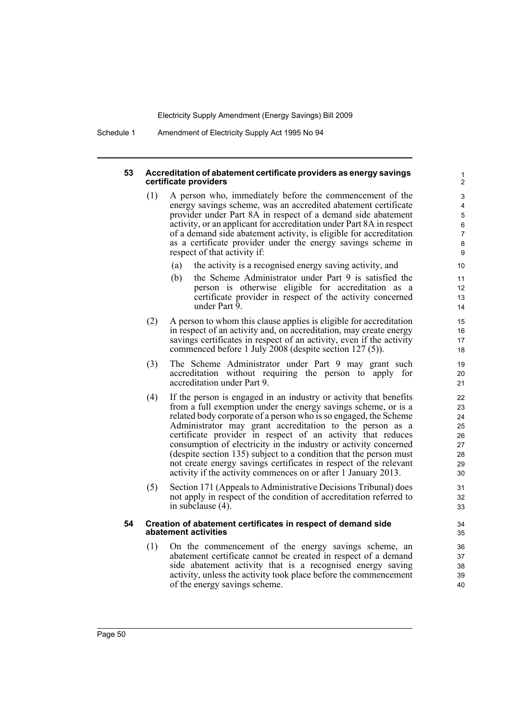Schedule 1 Amendment of Electricity Supply Act 1995 No 94

#### **53 Accreditation of abatement certificate providers as energy savings certificate providers**

- (1) A person who, immediately before the commencement of the energy savings scheme, was an accredited abatement certificate provider under Part 8A in respect of a demand side abatement activity, or an applicant for accreditation under Part 8A in respect of a demand side abatement activity, is eligible for accreditation as a certificate provider under the energy savings scheme in respect of that activity if:
	- (a) the activity is a recognised energy saving activity, and
	- (b) the Scheme Administrator under Part 9 is satisfied the person is otherwise eligible for accreditation as a certificate provider in respect of the activity concerned under Part 9.

- (2) A person to whom this clause applies is eligible for accreditation in respect of an activity and, on accreditation, may create energy savings certificates in respect of an activity, even if the activity commenced before 1 July 2008 (despite section 127 (5)).
- (3) The Scheme Administrator under Part 9 may grant such accreditation without requiring the person to apply for accreditation under Part 9.
- (4) If the person is engaged in an industry or activity that benefits from a full exemption under the energy savings scheme, or is a related body corporate of a person who is so engaged, the Scheme Administrator may grant accreditation to the person as a certificate provider in respect of an activity that reduces consumption of electricity in the industry or activity concerned (despite section 135) subject to a condition that the person must not create energy savings certificates in respect of the relevant activity if the activity commences on or after 1 January 2013.
- (5) Section 171 (Appeals to Administrative Decisions Tribunal) does not apply in respect of the condition of accreditation referred to in subclause (4).

#### **54 Creation of abatement certificates in respect of demand side abatement activities**

(1) On the commencement of the energy savings scheme, an abatement certificate cannot be created in respect of a demand side abatement activity that is a recognised energy saving activity, unless the activity took place before the commencement of the energy savings scheme.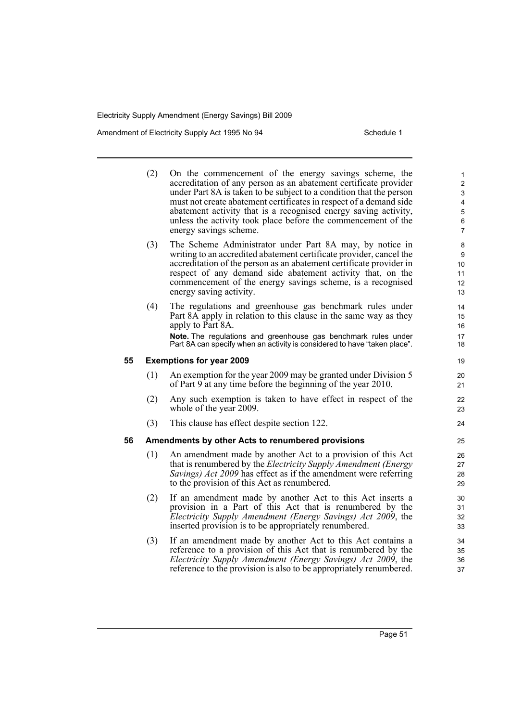Amendment of Electricity Supply Act 1995 No 94 Schedule 1

|    | (2)                                               | On the commencement of the energy savings scheme, the<br>accreditation of any person as an abatement certificate provider<br>under Part 8A is taken to be subject to a condition that the person<br>must not create abatement certificates in respect of a demand side<br>abatement activity that is a recognised energy saving activity,<br>unless the activity took place before the commencement of the<br>energy savings scheme. | 1<br>$\overline{\mathbf{c}}$<br>$\mathfrak{S}$<br>$\overline{\mathbf{4}}$<br>5<br>$\,6\,$<br>7 |  |
|----|---------------------------------------------------|--------------------------------------------------------------------------------------------------------------------------------------------------------------------------------------------------------------------------------------------------------------------------------------------------------------------------------------------------------------------------------------------------------------------------------------|------------------------------------------------------------------------------------------------|--|
|    | (3)                                               | The Scheme Administrator under Part 8A may, by notice in<br>writing to an accredited abatement certificate provider, cancel the<br>accreditation of the person as an abatement certificate provider in<br>respect of any demand side abatement activity that, on the<br>commencement of the energy savings scheme, is a recognised<br>energy saving activity.                                                                        | 8<br>9<br>10<br>11<br>12<br>13                                                                 |  |
|    | (4)                                               | The regulations and greenhouse gas benchmark rules under<br>Part 8A apply in relation to this clause in the same way as they<br>apply to Part 8A.<br>Note. The regulations and greenhouse gas benchmark rules under<br>Part 8A can specify when an activity is considered to have "taken place".                                                                                                                                     | 14<br>15<br>16<br>17<br>18                                                                     |  |
| 55 | <b>Exemptions for year 2009</b>                   |                                                                                                                                                                                                                                                                                                                                                                                                                                      |                                                                                                |  |
|    | (1)                                               | An exemption for the year 2009 may be granted under Division 5<br>of Part 9 at any time before the beginning of the year 2010.                                                                                                                                                                                                                                                                                                       | 20<br>21                                                                                       |  |
|    | (2)                                               | Any such exemption is taken to have effect in respect of the<br>whole of the year 2009.                                                                                                                                                                                                                                                                                                                                              | 22<br>23                                                                                       |  |
|    | (3)                                               | This clause has effect despite section 122.                                                                                                                                                                                                                                                                                                                                                                                          | 24                                                                                             |  |
| 56 | Amendments by other Acts to renumbered provisions |                                                                                                                                                                                                                                                                                                                                                                                                                                      |                                                                                                |  |
|    | (1)                                               | An amendment made by another Act to a provision of this Act<br>that is renumbered by the <i>Electricity Supply Amendment (Energy</i> )<br>Savings) Act 2009 has effect as if the amendment were referring<br>to the provision of this Act as renumbered.                                                                                                                                                                             | 26<br>27<br>28<br>29                                                                           |  |
|    | (2)                                               | If an amendment made by another Act to this Act inserts a<br>provision in a Part of this Act that is renumbered by the<br>Electricity Supply Amendment (Energy Savings) Act 2009, the<br>inserted provision is to be appropriately renumbered.                                                                                                                                                                                       | 30<br>31<br>32<br>33                                                                           |  |
|    | (3)                                               | If an amendment made by another Act to this Act contains a<br>reference to a provision of this Act that is renumbered by the<br>Electricity Supply Amendment (Energy Savings) Act 2009, the<br>reference to the provision is also to be appropriately renumbered.                                                                                                                                                                    | 34<br>35<br>36<br>37                                                                           |  |
|    |                                                   |                                                                                                                                                                                                                                                                                                                                                                                                                                      |                                                                                                |  |